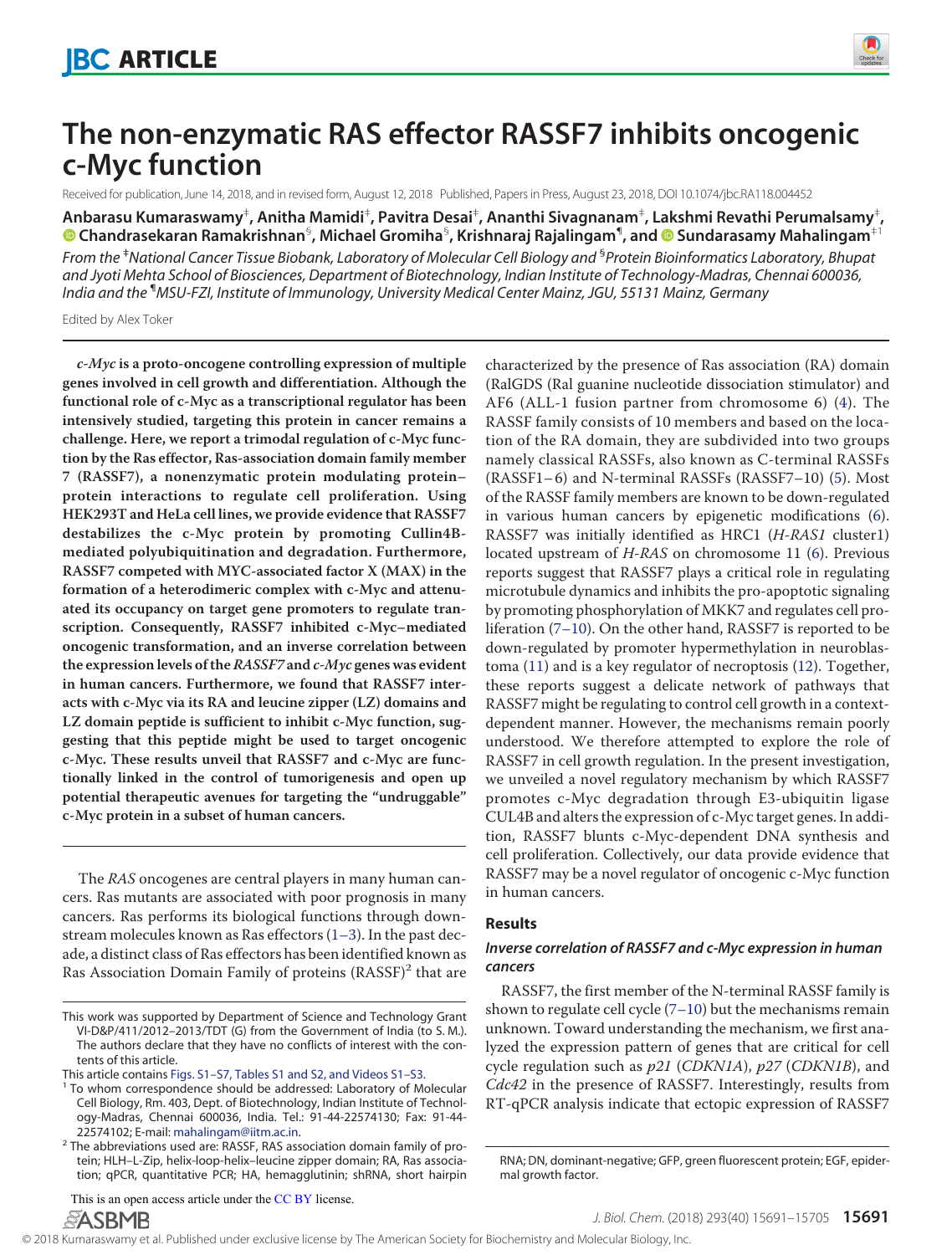

# **The non-enzymatic RAS effector RASSF7 inhibits oncogenic c-Myc function**

Received for publication, June 14, 2018, and in revised form, August 12, 2018 Published, Papers in Press, August 23, 2018, DOI 10.1074/jbc.RA118.004452

**Anbarasu Kumaraswamy**‡ **, Anitha Mamidi**‡ **, Pavitra Desai**‡ **, Ananthi Sivagnanam**‡ **, Lakshmi Revathi Perumalsamy**‡ **, X Chandrasekaran Ramakrishnan**§ **, Michael Gromiha**§ **, Krishnaraj Rajalingam**¶ **, and X Sundarasamy Mahalingam**‡1

*From the* ‡*National Cancer Tissue Biobank, Laboratory of Molecular Cell Biology and* § *Protein Bioinformatics Laboratory, Bhupat and Jyoti Mehta School of Biosciences, Department of Biotechnology, Indian Institute of Technology-Madras, Chennai 600036, India and the* ¶*MSU-FZI, Institute of Immunology, University Medical Center Mainz, JGU, 55131 Mainz, Germany*

Edited by Alex Toker

**c-Myc is a proto-oncogene controlling expression of multiple genes involved in cell growth and differentiation. Although the functional role of c-Myc as a transcriptional regulator has been intensively studied, targeting this protein in cancer remains a challenge. Here, we report a trimodal regulation of c-Myc function by the Ras effector, Ras-association domain family member 7 (RASSF7), a nonenzymatic protein modulating protein– protein interactions to regulate cell proliferation. Using HEK293T and HeLa cell lines, we provide evidence that RASSF7 destabilizes the c-Myc protein by promoting Cullin4Bmediated polyubiquitination and degradation. Furthermore, RASSF7 competed with MYC-associated factor X (MAX) in the formation of a heterodimeric complex with c-Myc and attenuated its occupancy on target gene promoters to regulate transcription. Consequently, RASSF7 inhibited c-Myc–mediated oncogenic transformation, and an inverse correlation between the expression levels of the RASSF7 and c-Myc genes was evident in human cancers. Furthermore, we found that RASSF7 interacts with c-Myc via its RA and leucine zipper (LZ) domains and LZ domain peptide is sufficient to inhibit c-Myc function, suggesting that this peptide might be used to target oncogenic c-Myc. These results unveil that RASSF7 and c-Myc are functionally linked in the control of tumorigenesis and open up potential therapeutic avenues for targeting the "undruggable" c-Myc protein in a subset of human cancers.**

The RAS oncogenes are central players in many human cancers. Ras mutants are associated with poor prognosis in many cancers. Ras performs its biological functions through downstream molecules known as Ras effectors (1–3). In the past decade, a distinct class of Ras effectors has been identified known as Ras Association Domain Family of proteins (RASSF)<sup>2</sup> that are

This article contains Figs. S1–S7, Tables S1 and S2, and Videos S1–S3.

This is an open access article under the CC BY license.**ASBMB** 

characterized by the presence of Ras association (RA) domain (RalGDS (Ral guanine nucleotide dissociation stimulator) and AF6 (ALL-1 fusion partner from chromosome 6) (4). The RASSF family consists of 10 members and based on the location of the RA domain, they are subdivided into two groups namely classical RASSFs, also known as C-terminal RASSFs (RASSF1– 6) and N-terminal RASSFs (RASSF7–10) (5). Most of the RASSF family members are known to be down-regulated in various human cancers by epigenetic modifications (6). RASSF7 was initially identified as HRC1 (H-RAS1 cluster1) located upstream of H-RAS on chromosome 11 (6). Previous reports suggest that RASSF7 plays a critical role in regulating microtubule dynamics and inhibits the pro-apoptotic signaling by promoting phosphorylation of MKK7 and regulates cell proliferation (7–10). On the other hand, RASSF7 is reported to be down-regulated by promoter hypermethylation in neuroblastoma (11) and is a key regulator of necroptosis (12). Together, these reports suggest a delicate network of pathways that RASSF7 might be regulating to control cell growth in a contextdependent manner. However, the mechanisms remain poorly understood. We therefore attempted to explore the role of RASSF7 in cell growth regulation. In the present investigation, we unveiled a novel regulatory mechanism by which RASSF7 promotes c-Myc degradation through E3-ubiquitin ligase CUL4B and alters the expression of c-Myc target genes. In addition, RASSF7 blunts c-Myc-dependent DNA synthesis and cell proliferation. Collectively, our data provide evidence that RASSF7 may be a novel regulator of oncogenic c-Myc function in human cancers.

#### **Results**

#### *Inverse correlation of RASSF7 and c-Myc expression in human cancers*

RASSF7, the first member of the N-terminal RASSF family is shown to regulate cell cycle  $(7-10)$  but the mechanisms remain unknown. Toward understanding the mechanism, we first analyzed the expression pattern of genes that are critical for cell cycle regulation such as  $p21$  (CDKN1A),  $p27$  (CDKN1B), and Cdc42 in the presence of RASSF7. Interestingly, results from RT-qPCR analysis indicate that ectopic expression of RASSF7

This work was supported by Department of Science and Technology Grant VI-D&P/411/2012–2013/TDT (G) from the Government of India (to S. M.). The authors declare that they have no conflicts of interest with the contents of this article.

<sup>&</sup>lt;sup>1</sup> To whom correspondence should be addressed: Laboratory of Molecular Cell Biology, Rm. 403, Dept. of Biotechnology, Indian Institute of Technology-Madras, Chennai 600036, India. Tel.: 91-44-22574130; Fax: 91-44- 22574102; E-mail: mahalingam@iitm.ac.in.

<sup>&</sup>lt;sup>2</sup> The abbreviations used are: RASSF, RAS association domain family of protein; HLH–L-Zip, helix-loop-helix–leucine zipper domain; RA, Ras association; qPCR, quantitative PCR; HA, hemagglutinin; shRNA, short hairpin

RNA; DN, dominant-negative; GFP, green fluorescent protein; EGF, epidermal growth factor.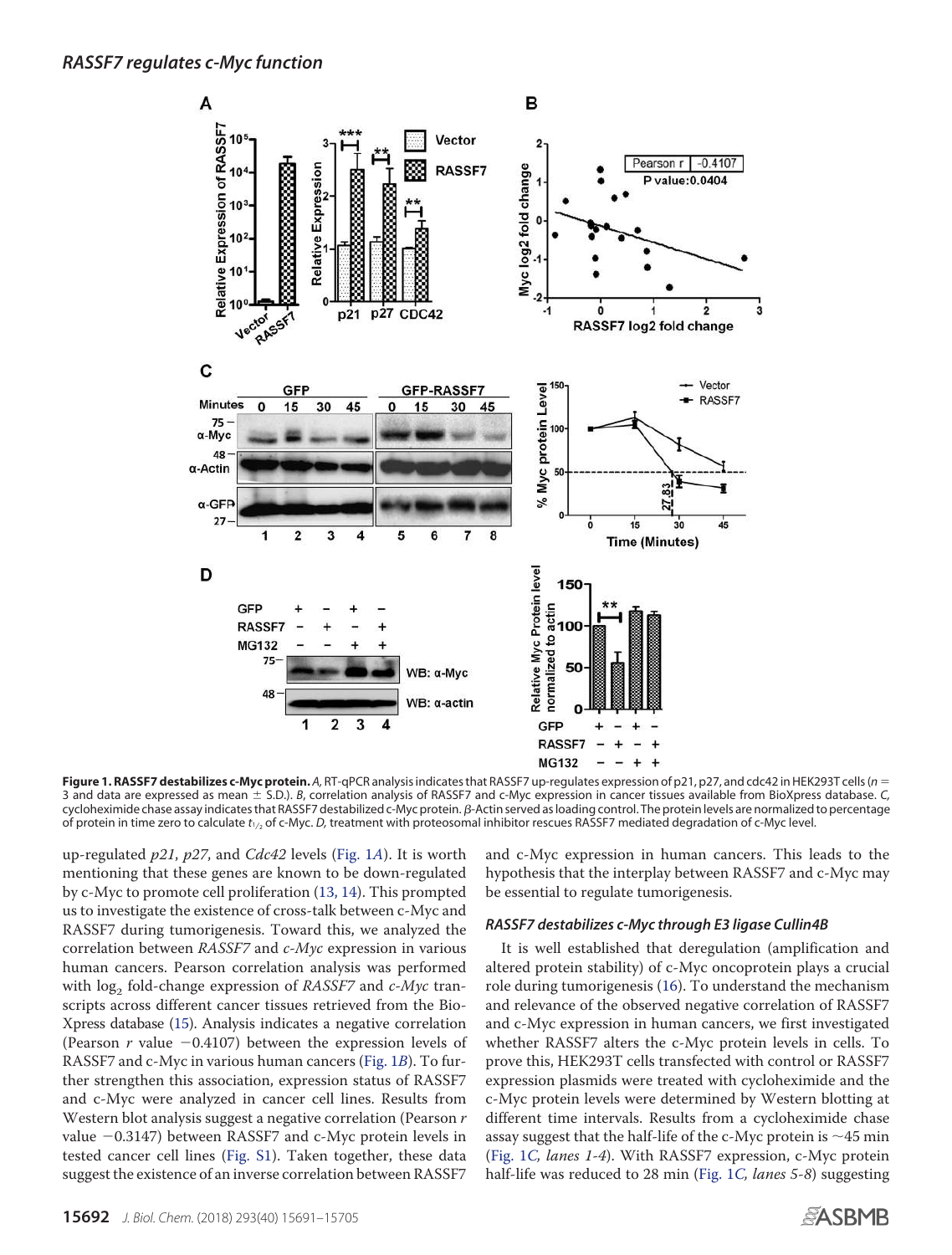

**Figure 1. RASSF7 destabilizes c-Myc protein.** *A,* RT-qPCR analysis indicates that RASSF7 up-regulates expression of p21, p27, and cdc42 in HEK293T cells (*n* 3 and data are expressed as mean S.D.). *B*, correlation analysis of RASSF7 and c-Myc expression in cancer tissues available from BioXpress database. *C,* cycloheximide chase assay indicates that RASSF7 destabilized c-Myc protein. β-Actin served as loading control. The protein levels are normalized to percentage of protein in time zero to calculate t<sub>1/2</sub> of c-Myc. *D*, treatment with proteosomal inhibitor rescues RASSF7 mediated degradation of c-Myc level.

up-regulated  $p21$ ,  $p27$ , and  $Cdc42$  levels (Fig. 1A). It is worth mentioning that these genes are known to be down-regulated by c-Myc to promote cell proliferation (13, 14). This prompted us to investigate the existence of cross-talk between c-Myc and RASSF7 during tumorigenesis. Toward this, we analyzed the correlation between RASSF7 and c-Myc expression in various human cancers. Pearson correlation analysis was performed with  $\log_2$  fold-change expression of *RASSF7* and *c-Myc* transcripts across different cancer tissues retrieved from the Bio-Xpress database (15). Analysis indicates a negative correlation (Pearson  $r$  value  $-0.4107$ ) between the expression levels of RASSF7 and c-Myc in various human cancers (Fig. 1B). To further strengthen this association, expression status of RASSF7 and c-Myc were analyzed in cancer cell lines. Results from Western blot analysis suggest a negative correlation (Pearson  $r$ value -0.3147) between RASSF7 and c-Myc protein levels in tested cancer cell lines (Fig. S1). Taken together, these data suggest the existence of an inverse correlation between RASSF7

and c-Myc expression in human cancers. This leads to the hypothesis that the interplay between RASSF7 and c-Myc may be essential to regulate tumorigenesis.

#### *RASSF7 destabilizes c-Myc through E3 ligase Cullin4B*

It is well established that deregulation (amplification and altered protein stability) of c-Myc oncoprotein plays a crucial role during tumorigenesis (16). To understand the mechanism and relevance of the observed negative correlation of RASSF7 and c-Myc expression in human cancers, we first investigated whether RASSF7 alters the c-Myc protein levels in cells. To prove this, HEK293T cells transfected with control or RASSF7 expression plasmids were treated with cycloheximide and the c-Myc protein levels were determined by Western blotting at different time intervals. Results from a cycloheximide chase assay suggest that the half-life of the c-Myc protein is  $\sim$ 45 min (Fig. 1C, lanes 1-4). With RASSF7 expression, c-Myc protein half-life was reduced to 28 min (Fig. 1C, lanes 5-8) suggesting

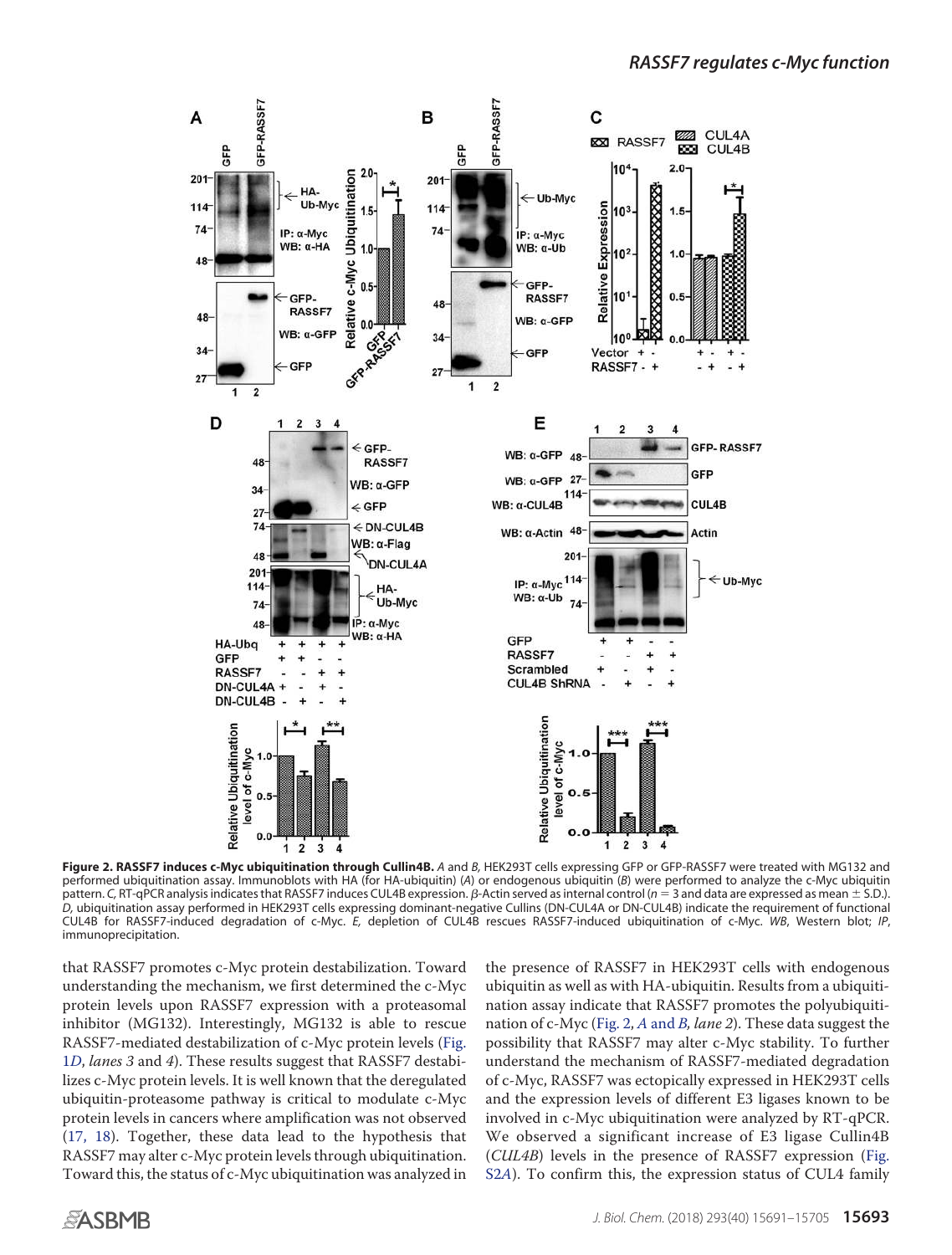

**Figure 2. RASSF7 induces c-Myc ubiquitination through Cullin4B.** *A* and *B,* HEK293T cells expressing GFP or GFP-RASSF7 were treated with MG132 and performed ubiquitination assay. Immunoblots with HA (for HA-ubiquitin) (*A*) or endogenous ubiquitin (*B*) were performed to analyze the c-Myc ubiquitin .<br>pattern. C, RT-qPCR analysis indicates that RASSF7 induces CUL4B expression. *β-*Actin served as internal control (*n* = 3 and data are expressed as mean ± S.D.). *D,* ubiquitination assay performed in HEK293T cells expressing dominant-negative Cullins (DN-CUL4A or DN-CUL4B) indicate the requirement of functional CUL4B for RASSF7-induced degradation of c-Myc. *E,* depletion of CUL4B rescues RASSF7-induced ubiquitination of c-Myc. *WB*, Western blot; *IP*, immunoprecipitation.

that RASSF7 promotes c-Myc protein destabilization. Toward understanding the mechanism, we first determined the c-Myc protein levels upon RASSF7 expression with a proteasomal inhibitor (MG132). Interestingly, MG132 is able to rescue RASSF7-mediated destabilization of c-Myc protein levels (Fig. 1D, lanes 3 and 4). These results suggest that RASSF7 destabilizes c-Myc protein levels. It is well known that the deregulated ubiquitin-proteasome pathway is critical to modulate c-Myc protein levels in cancers where amplification was not observed (17, 18). Together, these data lead to the hypothesis that RASSF7 may alter c-Myc protein levels through ubiquitination. Toward this, the status of c-Myc ubiquitination was analyzed in

the presence of RASSF7 in HEK293T cells with endogenous ubiquitin as well as with HA-ubiquitin. Results from a ubiquitination assay indicate that RASSF7 promotes the polyubiquitination of c-Myc (Fig. 2, A and B, lane 2). These data suggest the possibility that RASSF7 may alter c-Myc stability. To further understand the mechanism of RASSF7-mediated degradation of c-Myc, RASSF7 was ectopically expressed in HEK293T cells and the expression levels of different E3 ligases known to be involved in c-Myc ubiquitination were analyzed by RT-qPCR. We observed a significant increase of E3 ligase Cullin4B (CUL4B) levels in the presence of RASSF7 expression (Fig. S2A). To confirm this, the expression status of CUL4 family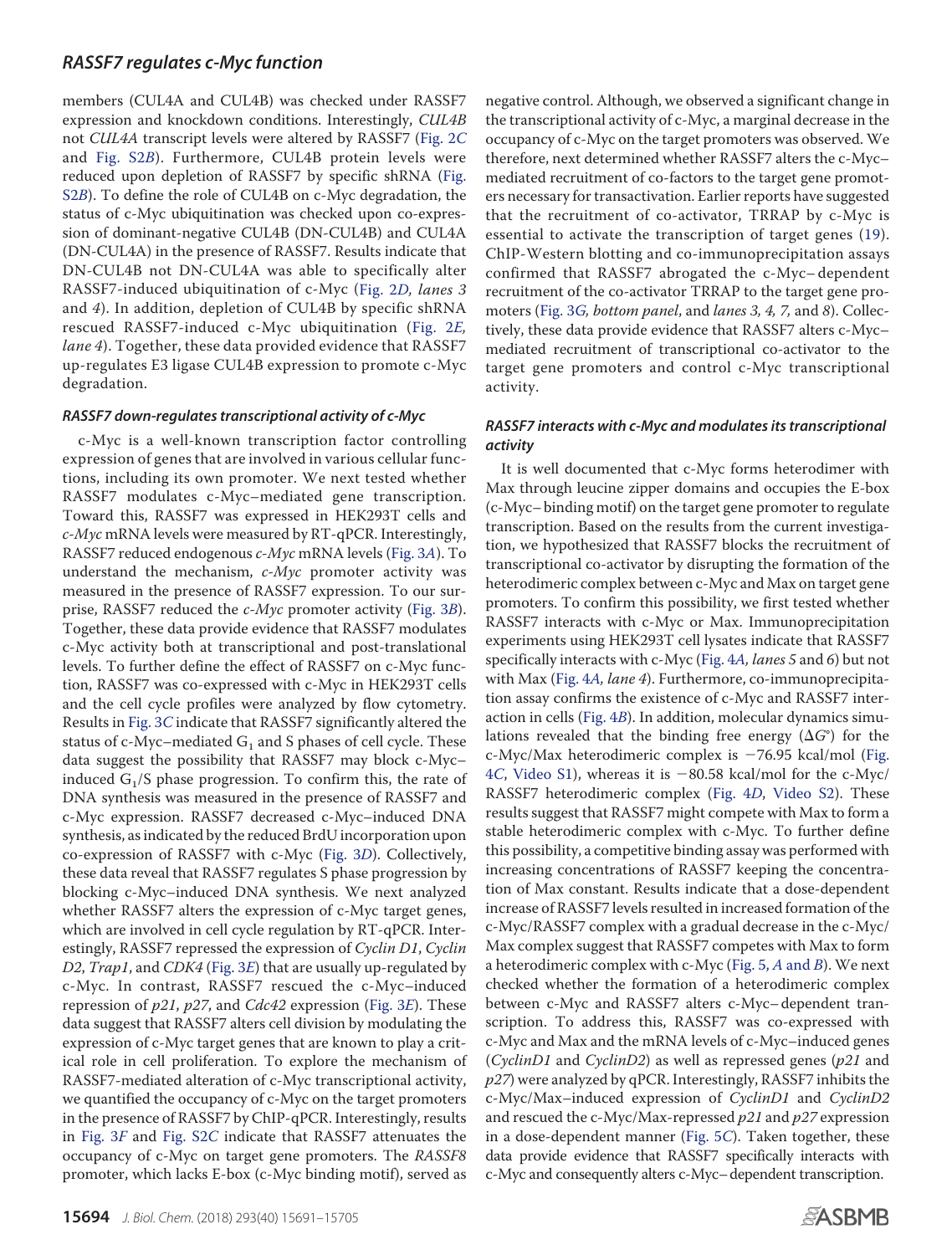members (CUL4A and CUL4B) was checked under RASSF7 expression and knockdown conditions. Interestingly, CUL4B not CUL4A transcript levels were altered by RASSF7 (Fig. 2C and Fig. S2B). Furthermore, CUL4B protein levels were reduced upon depletion of RASSF7 by specific shRNA (Fig. S2B). To define the role of CUL4B on c-Myc degradation, the status of c-Myc ubiquitination was checked upon co-expression of dominant-negative CUL4B (DN-CUL4B) and CUL4A (DN-CUL4A) in the presence of RASSF7. Results indicate that DN-CUL4B not DN-CUL4A was able to specifically alter RASSF7-induced ubiquitination of c-Myc (Fig. 2D, lanes 3 and 4). In addition, depletion of CUL4B by specific shRNA rescued RASSF7-induced c-Myc ubiquitination (Fig. 2E, lane 4). Together, these data provided evidence that RASSF7 up-regulates E3 ligase CUL4B expression to promote c-Myc degradation.

#### *RASSF7 down-regulates transcriptional activity of c-Myc*

c-Myc is a well-known transcription factor controlling expression of genes that are involved in various cellular functions, including its own promoter. We next tested whether RASSF7 modulates c-Myc–mediated gene transcription. Toward this, RASSF7 was expressed in HEK293T cells and  $c$ -*Myc* mRNA levels were measured by RT-qPCR. Interestingly, RASSF7 reduced endogenous c-Myc mRNA levels (Fig. 3A). To understand the mechanism,  $c$ - $Myc$  promoter activity was measured in the presence of RASSF7 expression. To our surprise, RASSF7 reduced the *c-Myc* promoter activity (Fig. 3B). Together, these data provide evidence that RASSF7 modulates c-Myc activity both at transcriptional and post-translational levels. To further define the effect of RASSF7 on c-Myc function, RASSF7 was co-expressed with c-Myc in HEK293T cells and the cell cycle profiles were analyzed by flow cytometry. Results in Fig. 3C indicate that RASSF7 significantly altered the status of c-Myc–mediated  $\mathrm{G}_1$  and S phases of cell cycle. These data suggest the possibility that RASSF7 may block c-Myc– induced  $G_1/S$  phase progression. To confirm this, the rate of DNA synthesis was measured in the presence of RASSF7 and c-Myc expression. RASSF7 decreased c-Myc–induced DNA synthesis, as indicated by the reduced BrdU incorporation upon co-expression of RASSF7 with c-Myc (Fig. 3D). Collectively, these data reveal that RASSF7 regulates S phase progression by blocking c-Myc–induced DNA synthesis. We next analyzed whether RASSF7 alters the expression of c-Myc target genes, which are involved in cell cycle regulation by RT-qPCR. Interestingly, RASSF7 repressed the expression of Cyclin D1, Cyclin D2, Trap1, and CDK4 (Fig. 3E) that are usually up-regulated by c-Myc. In contrast, RASSF7 rescued the c-Myc–induced repression of  $p21$ ,  $p27$ , and Cdc42 expression (Fig. 3E). These data suggest that RASSF7 alters cell division by modulating the expression of c-Myc target genes that are known to play a critical role in cell proliferation. To explore the mechanism of RASSF7-mediated alteration of c-Myc transcriptional activity, we quantified the occupancy of c-Myc on the target promoters in the presence of RASSF7 by ChIP-qPCR. Interestingly, results in Fig. 3F and Fig. S2C indicate that RASSF7 attenuates the occupancy of c-Myc on target gene promoters. The RASSF8 promoter, which lacks E-box (c-Myc binding motif), served as

negative control. Although, we observed a significant change in the transcriptional activity of c-Myc, a marginal decrease in the occupancy of c-Myc on the target promoters was observed. We therefore, next determined whether RASSF7 alters the c-Myc– mediated recruitment of co-factors to the target gene promoters necessary for transactivation. Earlier reports have suggested that the recruitment of co-activator, TRRAP by c-Myc is essential to activate the transcription of target genes (19). ChIP-Western blotting and co-immunoprecipitation assays confirmed that RASSF7 abrogated the c-Myc– dependent recruitment of the co-activator TRRAP to the target gene promoters (Fig. 3G, bottom panel, and lanes 3, 4, 7, and 8). Collectively, these data provide evidence that RASSF7 alters c-Myc– mediated recruitment of transcriptional co-activator to the target gene promoters and control c-Myc transcriptional activity.

# *RASSF7 interacts with c-Myc and modulates its transcriptional activity*

It is well documented that c-Myc forms heterodimer with Max through leucine zipper domains and occupies the E-box (c-Myc– binding motif) on the target gene promoter to regulate transcription. Based on the results from the current investigation, we hypothesized that RASSF7 blocks the recruitment of transcriptional co-activator by disrupting the formation of the heterodimeric complex between c-Myc and Max on target gene promoters. To confirm this possibility, we first tested whether RASSF7 interacts with c-Myc or Max. Immunoprecipitation experiments using HEK293T cell lysates indicate that RASSF7 specifically interacts with c-Myc (Fig. 4A, lanes 5 and 6) but not with Max (Fig. 4A, lane 4). Furthermore, co-immunoprecipitation assay confirms the existence of c-Myc and RASSF7 interaction in cells (Fig. 4B). In addition, molecular dynamics simulations revealed that the binding free energy ( $\Delta G^{\circ}$ ) for the c-Myc/Max heterodimeric complex is -76.95 kcal/mol (Fig. 4C, Video S1), whereas it is  $-80.58$  kcal/mol for the c-Myc/ RASSF7 heterodimeric complex (Fig. 4D, Video S2). These results suggest that RASSF7 might compete with Max to form a stable heterodimeric complex with c-Myc. To further define this possibility, a competitive binding assay was performed with increasing concentrations of RASSF7 keeping the concentration of Max constant. Results indicate that a dose-dependent increase of RASSF7 levels resulted in increased formation of the c-Myc/RASSF7 complex with a gradual decrease in the c-Myc/ Max complex suggest that RASSF7 competes with Max to form a heterodimeric complex with c-Myc (Fig.  $5$ , A and B). We next checked whether the formation of a heterodimeric complex between c-Myc and RASSF7 alters c-Myc– dependent transcription. To address this, RASSF7 was co-expressed with c-Myc and Max and the mRNA levels of c-Myc–induced genes (CyclinD1 and CyclinD2) as well as repressed genes (p21 and  $p27$ ) were analyzed by qPCR. Interestingly, RASSF7 inhibits the c-Myc/Max–induced expression of CyclinD1 and CyclinD2 and rescued the c-Myc/Max-repressed  $p21$  and  $p27$  expression in a dose-dependent manner (Fig. 5C). Taken together, these data provide evidence that RASSF7 specifically interacts with c-Myc and consequently alters c-Myc–dependent transcription.

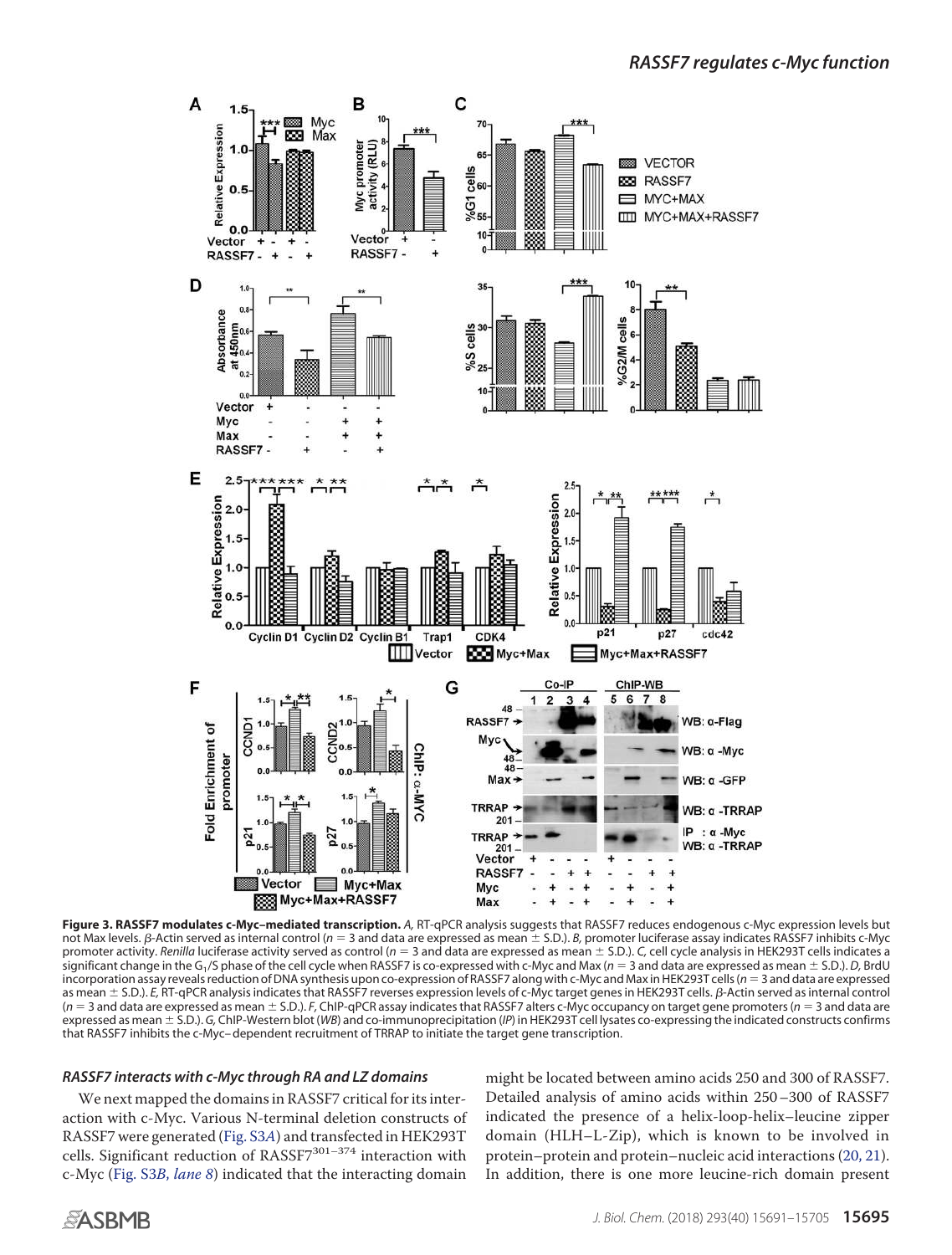

**Figure 3. RASSF7 modulates c-Myc–mediated transcription.** *A,* RT-qPCR analysis suggests that RASSF7 reduces endogenous c-Myc expression levels but not Max levels. *B*-Actin served as internal control (*n* = 3 and data are expressed as mean ± S.D.). *B*, promoter luciferase assay indicates RASSF7 inhibits c-Myc promoter activity. Renilla luciferase activity served as control ( $n = 3$  and data are expressed as mean  $\pm$  S.D.). *C*, cell cycle analysis in HEK293T cells indicates a significant change in the G<sup>1</sup> /S phase of the cell cycle when RASSF7 is co-expressed with c-Myc and Max (*n* 3 and data are expressed as mean S.D.). *D,* BrdU incorporation assay reveals reduction of DNA synthesis upon co-expression of RASSF7 along with c-Myc and Max in HEK293T cells (*n* 3 and data are expressed as mean ± S.D.). *E*, RT-qPCR analysis indicates that RASSF7 reverses expression levels of c-Myc target genes in HEK293T cells. β-Actin served as internal control ( $n = 3$  and data are expressed as mean  $\pm$  S.D.). *F*, ChIP-qPCR assay indicates that RASSF7 alters c-Myc occupancy on target gene promoters ( $n = 3$  and data are expressed as mean S.D.). *G,* ChIP-Western blot (*WB*) and co-immunoprecipitation (*IP*) in HEK293T cell lysates co-expressing the indicated constructs confirms that RASSF7 inhibits the c-Myc– dependent recruitment of TRRAP to initiate the target gene transcription.

#### *RASSF7 interacts with c-Myc through RA and LZ domains*

We next mapped the domains in RASSF7 critical for its interaction with c-Myc. Various N-terminal deletion constructs of RASSF7 were generated (Fig. S3A) and transfected in HEK293T cells. Significant reduction of RASSF7<sup>301-374</sup> interaction with c-Myc (Fig. S3B, lane 8) indicated that the interacting domain

might be located between amino acids 250 and 300 of RASSF7. Detailed analysis of amino acids within 250–300 of RASSF7 indicated the presence of a helix-loop-helix–leucine zipper domain (HLH–L-Zip), which is known to be involved in protein–protein and protein–nucleic acid interactions (20, 21). In addition, there is one more leucine-rich domain present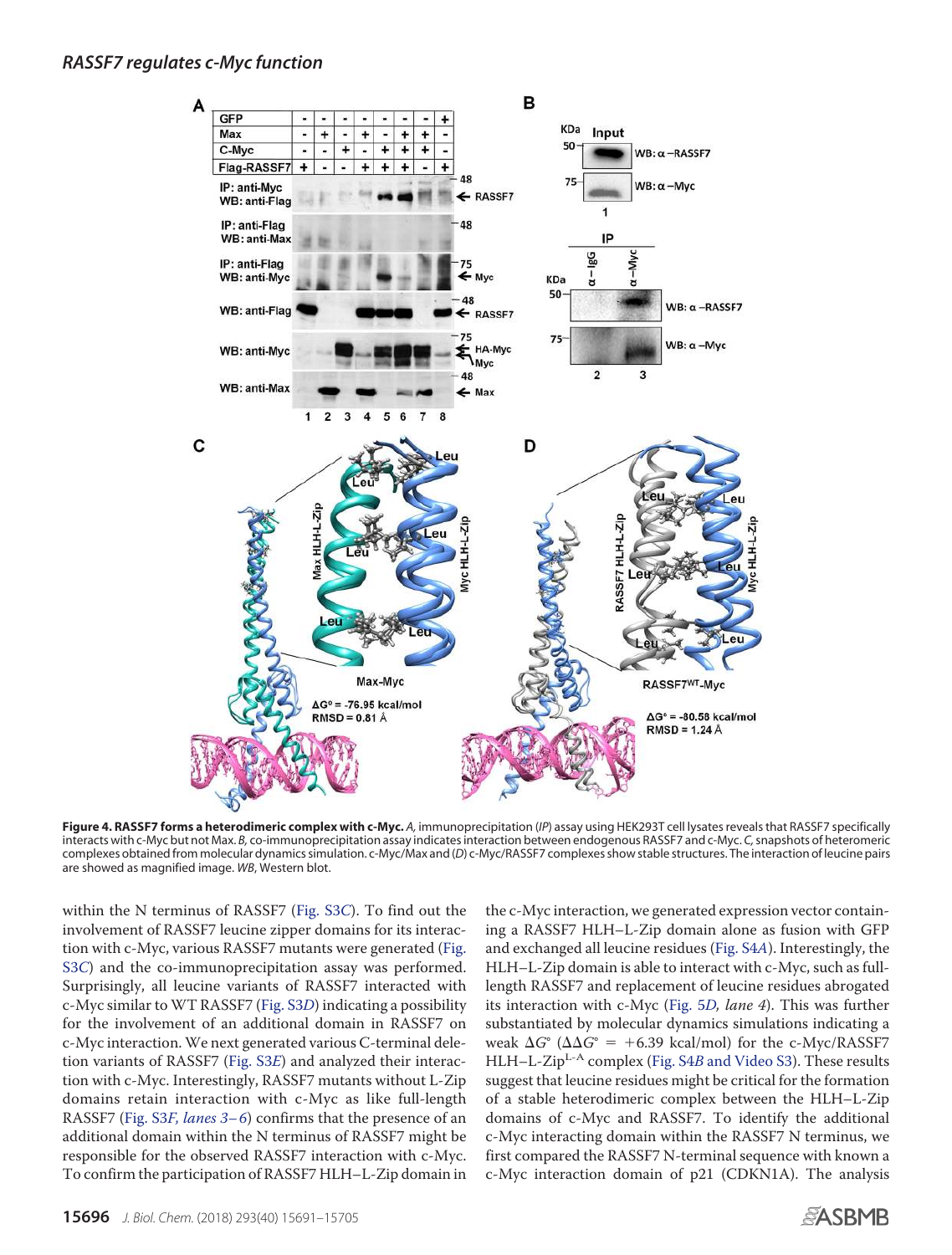

**Figure 4. RASSF7 forms a heterodimeric complex with c-Myc.** *A,* immunoprecipitation (*IP*) assay using HEK293T cell lysates reveals that RASSF7 specifically interacts with c-Myc but not Max. *B,* co-immunoprecipitation assay indicates interaction between endogenous RASSF7 and c-Myc. *C,*snapshots of heteromeric complexes obtained from molecular dynamics simulation. c-Myc/Max and (*D*) c-Myc/RASSF7 complexes show stable structures. The interaction of leucine pairs are showed as magnified image. *WB*, Western blot.

within the N terminus of RASSF7 (Fig. S3C). To find out the involvement of RASSF7 leucine zipper domains for its interaction with c-Myc, various RASSF7 mutants were generated (Fig. S3C) and the co-immunoprecipitation assay was performed. Surprisingly, all leucine variants of RASSF7 interacted with c-Myc similar to WT RASSF7 (Fig. S3D) indicating a possibility for the involvement of an additional domain in RASSF7 on c-Myc interaction. We next generated various C-terminal deletion variants of RASSF7 (Fig. S3E) and analyzed their interaction with c-Myc. Interestingly, RASSF7 mutants without L-Zip domains retain interaction with c-Myc as like full-length RASSF7 (Fig. S3F, lanes 3-6) confirms that the presence of an additional domain within the N terminus of RASSF7 might be responsible for the observed RASSF7 interaction with c-Myc. To confirm the participation of RASSF7 HLH–L-Zip domain in

the c-Myc interaction, we generated expression vector containing a RASSF7 HLH–L-Zip domain alone as fusion with GFP and exchanged all leucine residues (Fig. S4A). Interestingly, the HLH–L-Zip domain is able to interact with c-Myc, such as fulllength RASSF7 and replacement of leucine residues abrogated its interaction with c-Myc (Fig. 5D, lane 4). This was further substantiated by molecular dynamics simulations indicating a weak  $\Delta G^{\circ}$  ( $\Delta \Delta G^{\circ}$  = +6.39 kcal/mol) for the c-Myc/RASSF7 HLH–L-Zip<sup>L-A</sup> complex (Fig. S4B and Video S3). These results suggest that leucine residues might be critical for the formation of a stable heterodimeric complex between the HLH–L-Zip domains of c-Myc and RASSF7. To identify the additional c-Myc interacting domain within the RASSF7 N terminus, we first compared the RASSF7 N-terminal sequence with known a c-Myc interaction domain of p21 (CDKN1A). The analysis

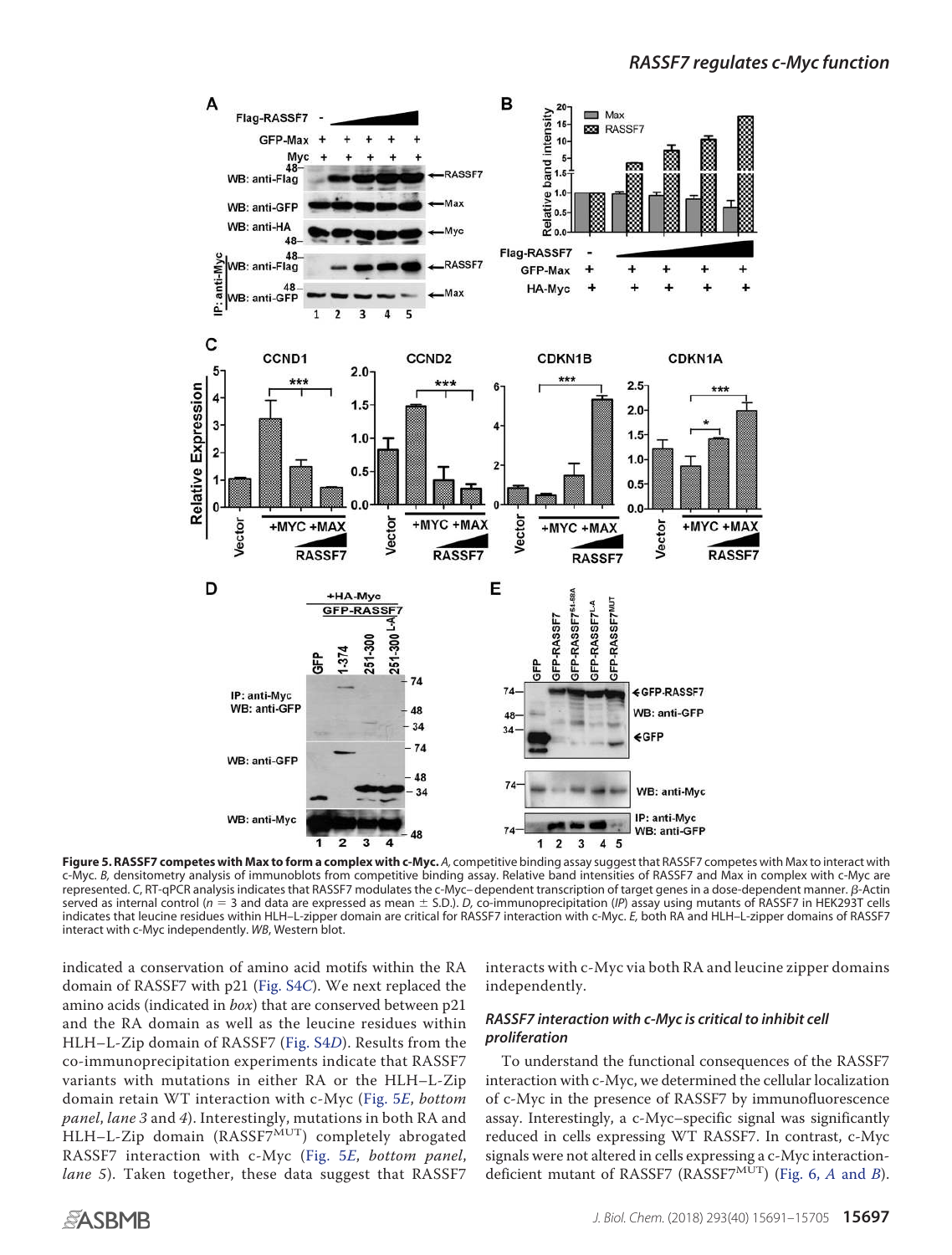

**Figure 5. RASSF7 competes with Max to form a complex with c-Myc.** *A,* competitive binding assay suggest that RASSF7 competes with Max to interact with c-Myc. *B,* densitometry analysis of immunoblots from competitive binding assay. Relative band intensities of RASSF7 and Max in complex with c-Myc are represented. C, RT-qPCR analysis indicates that RASSF7 modulates the c-Myc– dependent transcription of target genes in a dose-dependent manner. β-Actin served as internal control ( $n = 3$  and data are expressed as mean  $\pm$  S.D.). *D*, co-immunoprecipitation (*IP*) assay using mutants of RASSF7 in HEK293T cells indicates that leucine residues within HLH–L-zipper domain are critical for RASSF7 interaction with c-Myc. *E,* both RA and HLH–L-zipper domains of RASSF7 interact with c-Myc independently. *WB*, Western blot.

indicated a conservation of amino acid motifs within the RA domain of RASSF7 with p21 (Fig. S4C). We next replaced the amino acids (indicated in box) that are conserved between p21 and the RA domain as well as the leucine residues within HLH–L-Zip domain of RASSF7 (Fig. S4D). Results from the co-immunoprecipitation experiments indicate that RASSF7 variants with mutations in either RA or the HLH–L-Zip domain retain WT interaction with c-Myc (Fig. 5E, bottom panel, lane 3 and 4). Interestingly, mutations in both RA and  $HLH-L-Zip$  domain (RASSF7 $\overset{\text{MUT}}{D}$ ) completely abrogated RASSF7 interaction with c-Myc (Fig. 5E, bottom panel, lane 5). Taken together, these data suggest that RASSF7 interacts with c-Myc via both RA and leucine zipper domains independently.

# *RASSF7 interaction with c-Myc is critical to inhibit cell proliferation*

To understand the functional consequences of the RASSF7 interaction with c-Myc, we determined the cellular localization of c-Myc in the presence of RASSF7 by immunofluorescence assay. Interestingly, a c-Myc–specific signal was significantly reduced in cells expressing WT RASSF7. In contrast, c-Myc signals were not altered in cells expressing a c-Myc interactiondeficient mutant of RASSF7 (RASSF7<sup>MUT</sup>) (Fig. 6, A and B).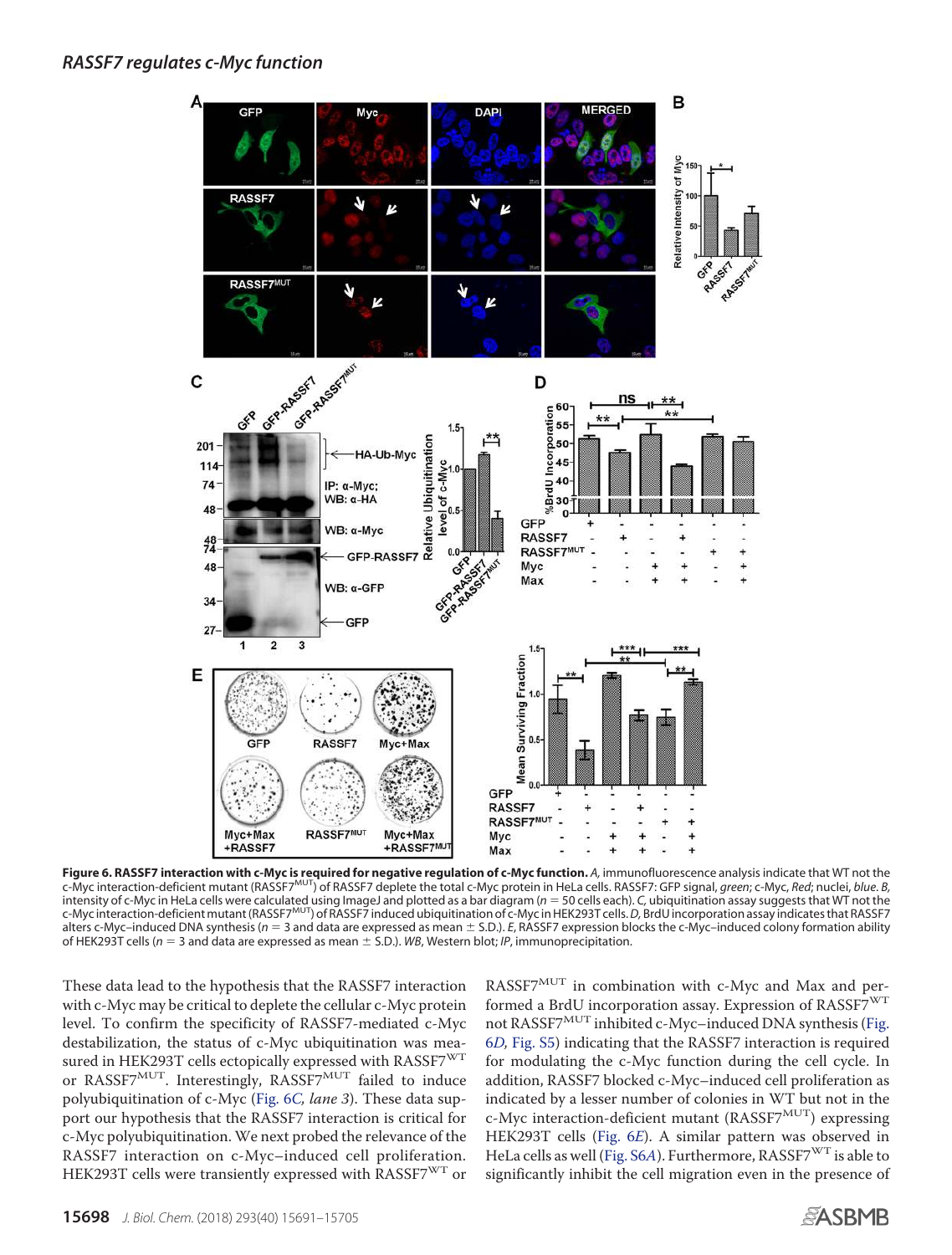

**Figure 6. RASSF7 interaction with c-Myc is required for negative regulation of c-Myc function.** A, immunofluorescence analysis indicate that WT not the<br>c-Myc interaction-deficient mutant (RASSF7<sup>MUT</sup>) of RASSF7 deplete th intensity of c-Myc in HeLa cells were calculated using ImageJ and plotted as a bar diagram (*n* 50 cells each). *C,* ubiquitination assay suggests that WT not the c-Myc interaction-deficient mutant (RASSF7MUT) of RASSF7 induced ubiquitination of c-Myc in HEK293T cells.*D,* BrdU incorporation assay indicates that RASSF7 alters c-Myc–induced DNA synthesis ( $n = 3$  and data are expressed as mean  $\pm$  S.D.). *E*, RASSF7 expression blocks the c-Myc–induced colony formation ability of HEK293T cells ( $n = 3$  and data are expressed as mean  $\pm$  S.D.). *WB*, Western blot; *IP*, immunoprecipitation.

These data lead to the hypothesis that the RASSF7 interaction with c-Myc may be critical to deplete the cellular c-Myc protein level. To confirm the specificity of RASSF7-mediated c-Myc destabilization, the status of c-Myc ubiquitination was measured in HEK293T cells ectopically expressed with RASSF7 $\mathrm{^{WT}}$ or RASSF7MUT. Interestingly, RASSF7MUT failed to induce polyubiquitination of c-Myc (Fig. 6C, lane 3). These data support our hypothesis that the RASSF7 interaction is critical for c-Myc polyubiquitination. We next probed the relevance of the RASSF7 interaction on c-Myc–induced cell proliferation. HEK293T cells were transiently expressed with RASSF7<sup>WT</sup> or

RASSF7MUT in combination with c-Myc and Max and performed a BrdU incorporation assay. Expression of RASSF7<sup>WT</sup> not RASSF7 $^{MUT}$  inhibited c-Myc–induced DNA synthesis (Fig. 6D, Fig. S5) indicating that the RASSF7 interaction is required for modulating the c-Myc function during the cell cycle. In addition, RASSF7 blocked c-Myc–induced cell proliferation as indicated by a lesser number of colonies in WT but not in the c-Myc interaction-deficient mutant (RASSF7<sup>MUT</sup>) expressing HEK293T cells (Fig. 6E). A similar pattern was observed in HeLa cells as well (Fig. S6A). Furthermore, RASSF7<sup>WT</sup> is able to significantly inhibit the cell migration even in the presence of

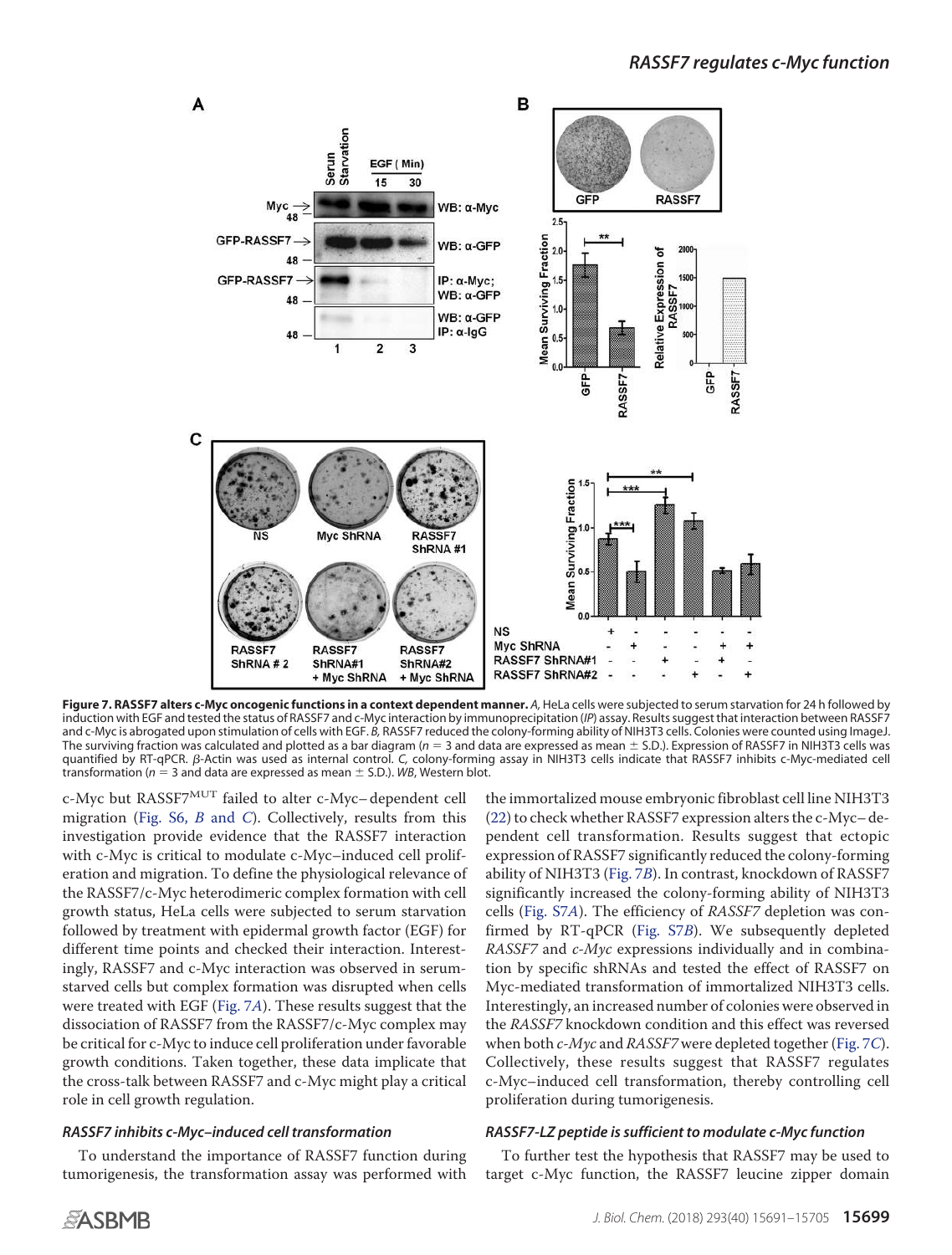

**Figure 7. RASSF7 alters c-Myc oncogenic functions in a context dependent manner.** *A,* HeLa cells were subjected to serum starvation for 24 h followed by induction with EGF and tested the status of RASSF7 and c-Myc interaction by immunoprecipitation (*IP*) assay. Results suggest that interaction between RASSF7 and c-Myc is abrogated upon stimulation of cells with EGF. *B,* RASSF7 reduced the colony-forming ability of NIH3T3 cells. Colonies were counted using ImageJ. The surviving fraction was calculated and plotted as a bar diagram (*n* 3 and data are expressed as mean S.D.). Expression of RASSF7 in NIH3T3 cells was quantified by RT-qPCR. β-Actin was used as internal control. C, colony-forming assay in NIH3T3 cells indicate that RASSF7 inhibits c-Myc-mediated cell transformation ( $n = 3$  and data are expressed as mean  $\pm$  S.D.). *WB*, Western blot.

c-Myc but RASSF7MUT failed to alter c-Myc– dependent cell migration (Fig. S6,  $B$  and C). Collectively, results from this investigation provide evidence that the RASSF7 interaction with c-Myc is critical to modulate c-Myc–induced cell proliferation and migration. To define the physiological relevance of the RASSF7/c-Myc heterodimeric complex formation with cell growth status, HeLa cells were subjected to serum starvation followed by treatment with epidermal growth factor (EGF) for different time points and checked their interaction. Interestingly, RASSF7 and c-Myc interaction was observed in serumstarved cells but complex formation was disrupted when cells were treated with EGF (Fig. 7A). These results suggest that the dissociation of RASSF7 from the RASSF7/c-Myc complex may be critical for c-Myc to induce cell proliferation under favorable growth conditions. Taken together, these data implicate that the cross-talk between RASSF7 and c-Myc might play a critical role in cell growth regulation.

# *RASSF7 inhibits c-Myc–induced cell transformation*

To understand the importance of RASSF7 function during tumorigenesis, the transformation assay was performed with

the immortalized mouse embryonic fibroblast cell line NIH3T3 (22) to check whether RASSF7 expression alters the c-Myc– dependent cell transformation. Results suggest that ectopic expression of RASSF7 significantly reduced the colony-forming ability of NIH3T3 (Fig. 7B). In contrast, knockdown of RASSF7 significantly increased the colony-forming ability of NIH3T3 cells (Fig. S7A). The efficiency of RASSF7 depletion was confirmed by RT-qPCR (Fig. S7B). We subsequently depleted RASSF7 and c-Myc expressions individually and in combination by specific shRNAs and tested the effect of RASSF7 on Myc-mediated transformation of immortalized NIH3T3 cells. Interestingly, an increased number of colonies were observed in the RASSF7 knockdown condition and this effect was reversed when both  $c$ -*Myc* and *RASSF7* were depleted together (Fig. 7*C*). Collectively, these results suggest that RASSF7 regulates c-Myc–induced cell transformation, thereby controlling cell proliferation during tumorigenesis.

#### *RASSF7-LZ peptide is sufficient to modulate c-Myc function*

To further test the hypothesis that RASSF7 may be used to target c-Myc function, the RASSF7 leucine zipper domain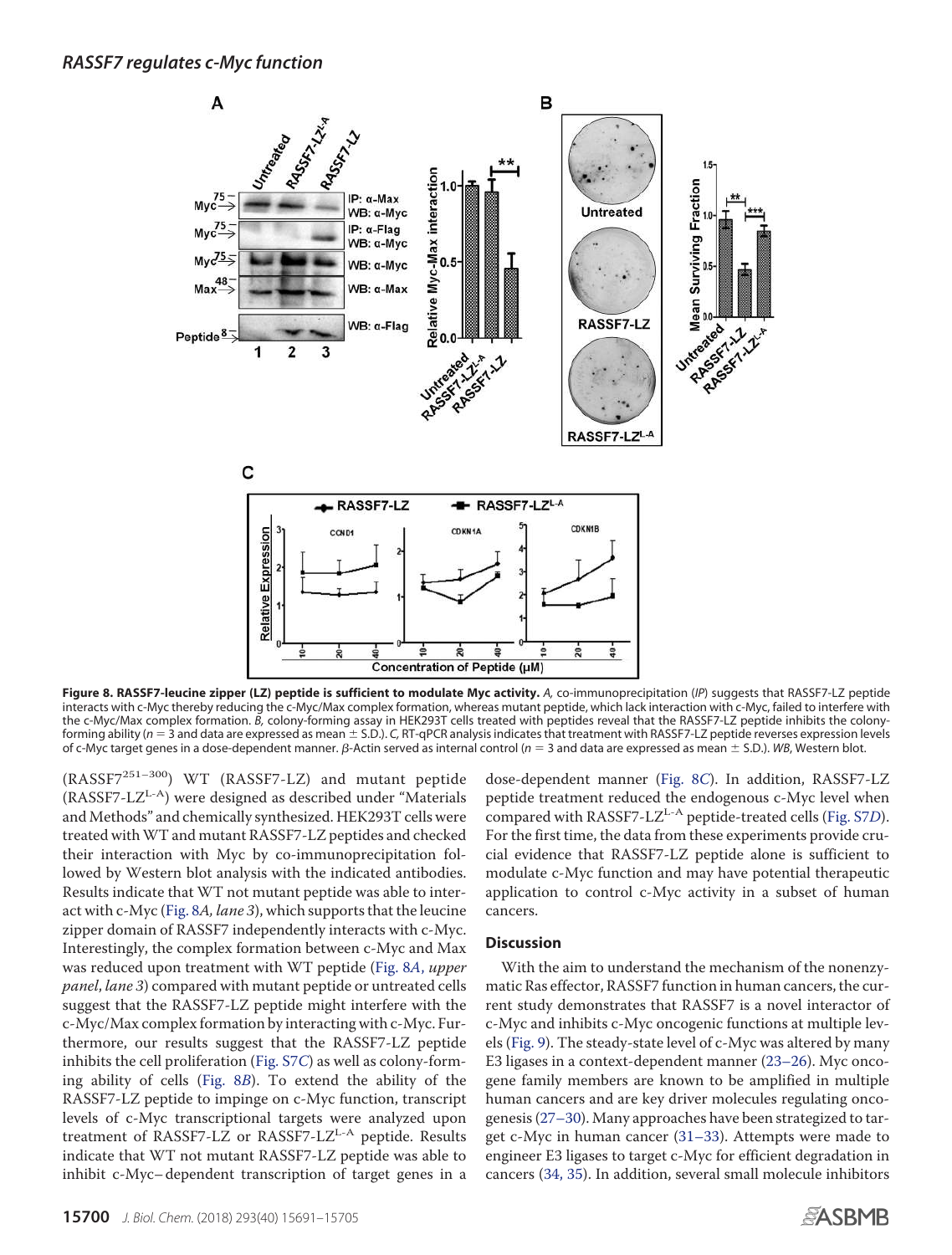

**Figure 8. RASSF7-leucine zipper (LZ) peptide is sufficient to modulate Myc activity.** *A,* co-immunoprecipitation (*IP*) suggests that RASSF7-LZ peptide interacts with c-Myc thereby reducing the c-Myc/Max complex formation, whereas mutant peptide, which lack interaction with c-Myc, failed to interfere with the c-Myc/Max complex formation. *B,* colony-forming assay in HEK293T cells treated with peptides reveal that the RASSF7-LZ peptide inhibits the colonyforming ability ( $n = 3$  and data are expressed as mean  $\pm$  S.D.). *C*, RT-qPCR analysis indicates that treatment with RASSF7-LZ peptide reverses expression levels of c-Myc target genes in a dose-dependent manner. B-Actin served as internal control ( $n = 3$  and data are expressed as mean  $\pm$  S.D.). *WB*, Western blot.

(RASSF7251–300) WT (RASSF7-LZ) and mutant peptide  $(RASSF7-LZ<sup>L-A</sup>)$  were designed as described under "Materials" and Methods" and chemically synthesized. HEK293T cells were treated withWT and mutant RASSF7-LZ peptides and checked their interaction with Myc by co-immunoprecipitation followed by Western blot analysis with the indicated antibodies. Results indicate that WT not mutant peptide was able to interact with c-Myc (Fig. 8A, lane 3), which supports that the leucine zipper domain of RASSF7 independently interacts with c-Myc. Interestingly, the complex formation between c-Myc and Max was reduced upon treatment with WT peptide (Fig. 8A, upper panel, lane 3) compared with mutant peptide or untreated cells suggest that the RASSF7-LZ peptide might interfere with the c-Myc/Max complex formation by interacting with c-Myc. Furthermore, our results suggest that the RASSF7-LZ peptide inhibits the cell proliferation (Fig. S7C) as well as colony-forming ability of cells (Fig. 8B). To extend the ability of the RASSF7-LZ peptide to impinge on c-Myc function, transcript levels of c-Myc transcriptional targets were analyzed upon treatment of RASSF7-LZ or RASSF7-LZ<sup>L-A</sup> peptide. Results indicate that WT not mutant RASSF7-LZ peptide was able to inhibit c-Myc– dependent transcription of target genes in a

dose-dependent manner (Fig. 8C). In addition, RASSF7-LZ peptide treatment reduced the endogenous c-Myc level when compared with RASSF7-LZ<sup>L-A</sup> peptide-treated cells (Fig. S7D). For the first time, the data from these experiments provide crucial evidence that RASSF7-LZ peptide alone is sufficient to modulate c-Myc function and may have potential therapeutic application to control c-Myc activity in a subset of human cancers.

#### **Discussion**

With the aim to understand the mechanism of the nonenzymatic Ras effector, RASSF7 function in human cancers, the current study demonstrates that RASSF7 is a novel interactor of c-Myc and inhibits c-Myc oncogenic functions at multiple levels (Fig. 9). The steady-state level of c-Myc was altered by many E3 ligases in a context-dependent manner (23–26). Myc oncogene family members are known to be amplified in multiple human cancers and are key driver molecules regulating oncogenesis (27–30). Many approaches have been strategized to target c-Myc in human cancer (31–33). Attempts were made to engineer E3 ligases to target c-Myc for efficient degradation in cancers (34, 35). In addition, several small molecule inhibitors

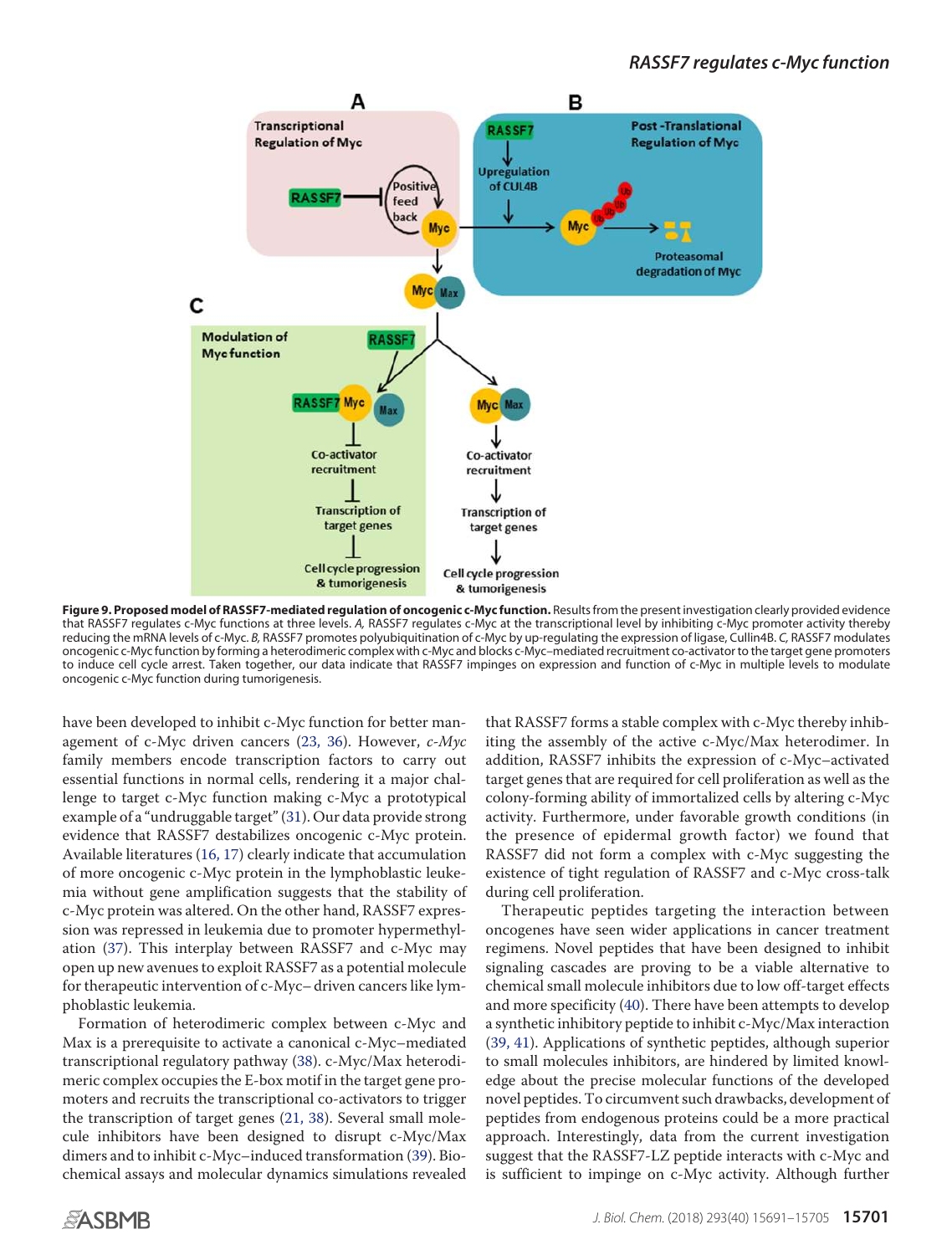

**Figure 9. Proposed model of RASSF7-mediated regulation of oncogenic c-Myc function.** Results from the present investigation clearly provided evidence that RASSF7 regulates c-Myc functions at three levels. *A,* RASSF7 regulates c-Myc at the transcriptional level by inhibiting c-Myc promoter activity thereby reducing the mRNA levels of c-Myc. *B,* RASSF7 promotes polyubiquitination of c-Myc by up-regulating the expression of ligase, Cullin4B. *C,* RASSF7 modulates oncogenic c-Myc function by forming a heterodimeric complex with c-Myc and blocks c-Myc–mediated recruitment co-activator to the target gene promoters to induce cell cycle arrest. Taken together, our data indicate that RASSF7 impinges on expression and function of c-Myc in multiple levels to modulate oncogenic c-Myc function during tumorigenesis.

have been developed to inhibit c-Myc function for better management of c-Myc driven cancers (23, 36). However, c-Myc family members encode transcription factors to carry out essential functions in normal cells, rendering it a major challenge to target c-Myc function making c-Myc a prototypical example of a "undruggable target" (31). Our data provide strong evidence that RASSF7 destabilizes oncogenic c-Myc protein. Available literatures (16, 17) clearly indicate that accumulation of more oncogenic c-Myc protein in the lymphoblastic leukemia without gene amplification suggests that the stability of c-Myc protein was altered. On the other hand, RASSF7 expression was repressed in leukemia due to promoter hypermethylation (37). This interplay between RASSF7 and c-Myc may open up new avenues to exploit RASSF7 as a potential molecule for therapeutic intervention of c-Myc– driven cancers like lymphoblastic leukemia.

Formation of heterodimeric complex between c-Myc and Max is a prerequisite to activate a canonical c-Myc–mediated transcriptional regulatory pathway (38). c-Myc/Max heterodimeric complex occupies the E-box motif in the target gene promoters and recruits the transcriptional co-activators to trigger the transcription of target genes (21, 38). Several small molecule inhibitors have been designed to disrupt c-Myc/Max dimers and to inhibit c-Myc–induced transformation (39). Biochemical assays and molecular dynamics simulations revealed

that RASSF7 forms a stable complex with c-Myc thereby inhibiting the assembly of the active c-Myc/Max heterodimer. In addition, RASSF7 inhibits the expression of c-Myc–activated target genes that are required for cell proliferation as well as the colony-forming ability of immortalized cells by altering c-Myc activity. Furthermore, under favorable growth conditions (in the presence of epidermal growth factor) we found that RASSF7 did not form a complex with c-Myc suggesting the existence of tight regulation of RASSF7 and c-Myc cross-talk during cell proliferation.

Therapeutic peptides targeting the interaction between oncogenes have seen wider applications in cancer treatment regimens. Novel peptides that have been designed to inhibit signaling cascades are proving to be a viable alternative to chemical small molecule inhibitors due to low off-target effects and more specificity (40). There have been attempts to develop a synthetic inhibitory peptide to inhibit c-Myc/Max interaction (39, 41). Applications of synthetic peptides, although superior to small molecules inhibitors, are hindered by limited knowledge about the precise molecular functions of the developed novel peptides. To circumvent such drawbacks, development of peptides from endogenous proteins could be a more practical approach. Interestingly, data from the current investigation suggest that the RASSF7-LZ peptide interacts with c-Myc and is sufficient to impinge on c-Myc activity. Although further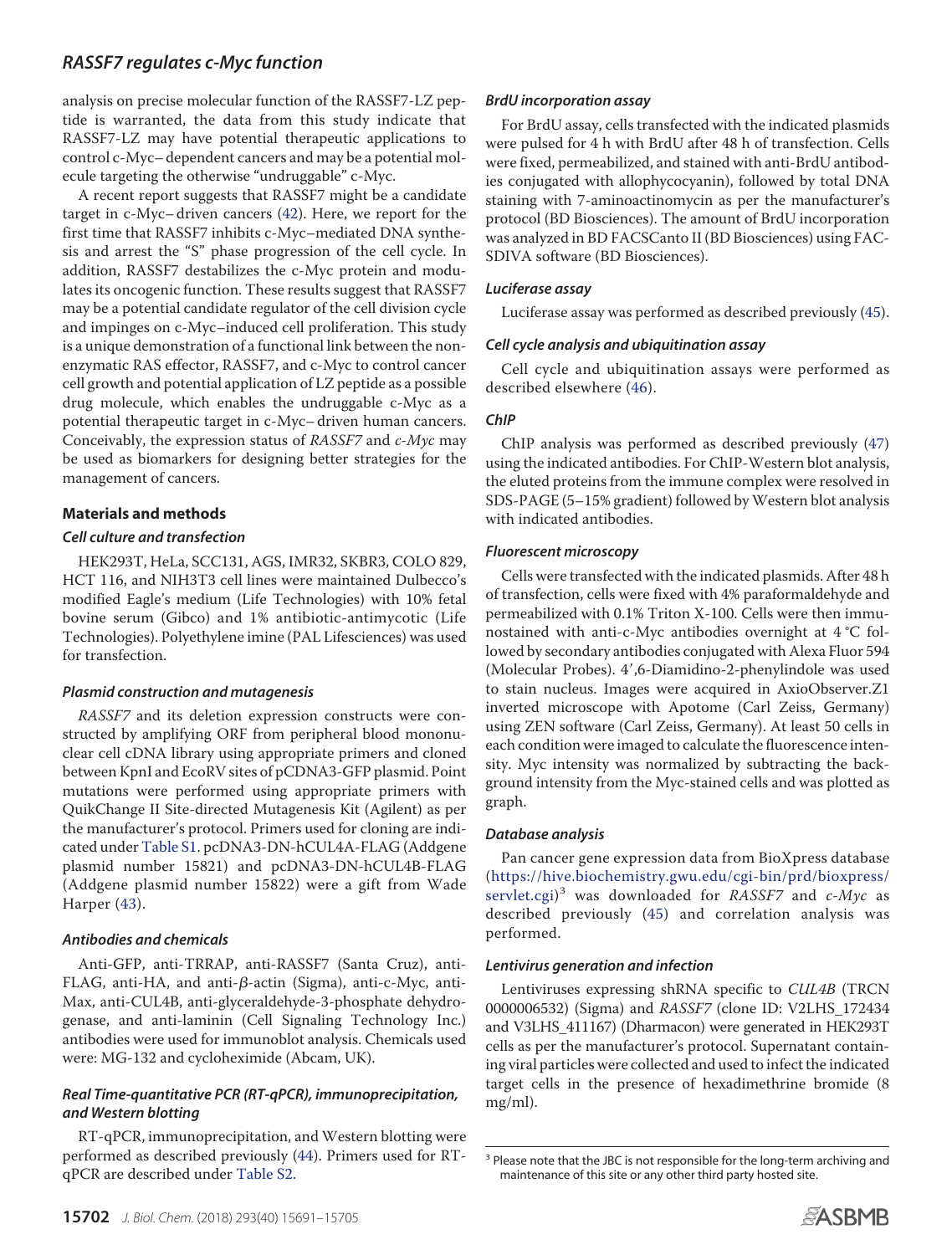analysis on precise molecular function of the RASSF7-LZ peptide is warranted, the data from this study indicate that RASSF7-LZ may have potential therapeutic applications to control c-Myc– dependent cancers and may be a potential molecule targeting the otherwise "undruggable" c-Myc.

A recent report suggests that RASSF7 might be a candidate target in c-Myc– driven cancers (42). Here, we report for the first time that RASSF7 inhibits c-Myc–mediated DNA synthesis and arrest the "S" phase progression of the cell cycle. In addition, RASSF7 destabilizes the c-Myc protein and modulates its oncogenic function. These results suggest that RASSF7 may be a potential candidate regulator of the cell division cycle and impinges on c-Myc–induced cell proliferation. This study is a unique demonstration of a functional link between the nonenzymatic RAS effector, RASSF7, and c-Myc to control cancer cell growth and potential application of LZ peptide as a possible drug molecule, which enables the undruggable c-Myc as a potential therapeutic target in c-Myc– driven human cancers. Conceivably, the expression status of RASSF7 and c-Myc may be used as biomarkers for designing better strategies for the management of cancers.

# **Materials and methods**

#### *Cell culture and transfection*

HEK293T, HeLa, SCC131, AGS, IMR32, SKBR3, COLO 829, HCT 116, and NIH3T3 cell lines were maintained Dulbecco's modified Eagle's medium (Life Technologies) with 10% fetal bovine serum (Gibco) and 1% antibiotic-antimycotic (Life Technologies). Polyethylene imine (PAL Lifesciences) was used for transfection.

# *Plasmid construction and mutagenesis*

RASSF7 and its deletion expression constructs were constructed by amplifying ORF from peripheral blood mononuclear cell cDNA library using appropriate primers and cloned between KpnI and EcoRV sites of pCDNA3-GFP plasmid. Point mutations were performed using appropriate primers with QuikChange II Site-directed Mutagenesis Kit (Agilent) as per the manufacturer's protocol. Primers used for cloning are indicated under Table S1. pcDNA3-DN-hCUL4A-FLAG (Addgene plasmid number 15821) and pcDNA3-DN-hCUL4B-FLAG (Addgene plasmid number 15822) were a gift from Wade Harper (43).

# *Antibodies and chemicals*

Anti-GFP, anti-TRRAP, anti-RASSF7 (Santa Cruz), anti-FLAG, anti-HA, and anti- $\beta$ -actin (Sigma), anti-c-Myc, anti-Max, anti-CUL4B, anti-glyceraldehyde-3-phosphate dehydrogenase, and anti-laminin (Cell Signaling Technology Inc.) antibodies were used for immunoblot analysis. Chemicals used were: MG-132 and cycloheximide (Abcam, UK).

# *Real Time-quantitative PCR (RT-qPCR), immunoprecipitation, and Western blotting*

RT-qPCR, immunoprecipitation, and Western blotting were performed as described previously (44). Primers used for RTqPCR are described under Table S2.

# *BrdU incorporation assay*

For BrdU assay, cells transfected with the indicated plasmids were pulsed for 4 h with BrdU after 48 h of transfection. Cells were fixed, permeabilized, and stained with anti-BrdU antibodies conjugated with allophycocyanin), followed by total DNA staining with 7-aminoactinomycin as per the manufacturer's protocol (BD Biosciences). The amount of BrdU incorporation was analyzed in BD FACSCanto II (BD Biosciences) using FAC-SDIVA software (BD Biosciences).

#### *Luciferase assay*

Luciferase assay was performed as described previously (45).

# *Cell cycle analysis and ubiquitination assay*

Cell cycle and ubiquitination assays were performed as described elsewhere (46).

# *ChIP*

ChIP analysis was performed as described previously (47) using the indicated antibodies. For ChIP-Western blot analysis, the eluted proteins from the immune complex were resolved in SDS-PAGE (5–15% gradient) followed by Western blot analysis with indicated antibodies.

#### *Fluorescent microscopy*

Cells were transfected with the indicated plasmids. After 48 h of transfection, cells were fixed with 4% paraformaldehyde and permeabilized with 0.1% Triton X-100. Cells were then immunostained with anti-c-Myc antibodies overnight at 4 °C followed by secondary antibodies conjugated with Alexa Fluor 594 (Molecular Probes). 4',6-Diamidino-2-phenylindole was used to stain nucleus. Images were acquired in AxioObserver.Z1 inverted microscope with Apotome (Carl Zeiss, Germany) using ZEN software (Carl Zeiss, Germany). At least 50 cells in each condition were imaged to calculate the fluorescence intensity. Myc intensity was normalized by subtracting the background intensity from the Myc-stained cells and was plotted as graph.

#### *Database analysis*

Pan cancer gene expression data from BioXpress database (https://hive.biochemistry.gwu.edu/cgi-bin/prd/bioxpress/ servlet.cgi)<sup>3</sup> was downloaded for RASSF7 and c-Myc as described previously (45) and correlation analysis was performed.

#### *Lentivirus generation and infection*

Lentiviruses expressing shRNA specific to CUL4B (TRCN 0000006532) (Sigma) and RASSF7 (clone ID: V2LHS\_172434 and V3LHS\_411167) (Dharmacon) were generated in HEK293T cells as per the manufacturer's protocol. Supernatant containing viral particles were collected and used to infect the indicated target cells in the presence of hexadimethrine bromide (8 mg/ml).



<sup>&</sup>lt;sup>3</sup> Please note that the JBC is not responsible for the long-term archiving and maintenance of this site or any other third party hosted site.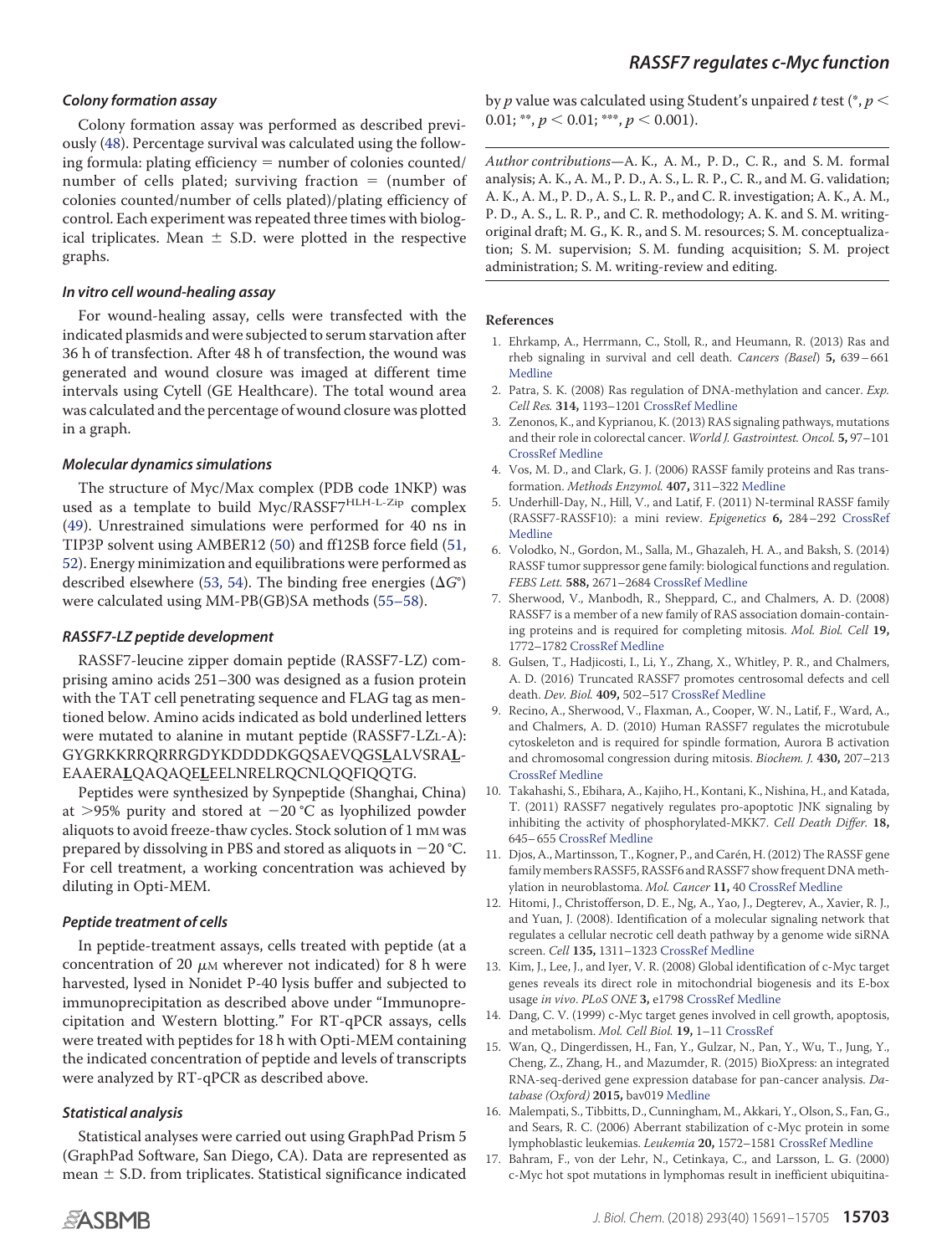#### *Colony formation assay*

Colony formation assay was performed as described previously (48). Percentage survival was calculated using the following formula: plating efficiency  $=$  number of colonies counted/ number of cells plated; surviving fraction  $=$  (number of colonies counted/number of cells plated)/plating efficiency of control. Each experiment was repeated three times with biological triplicates. Mean  $\pm$  S.D. were plotted in the respective graphs.

#### *In vitro cell wound-healing assay*

For wound-healing assay, cells were transfected with the indicated plasmids and were subjected to serum starvation after 36 h of transfection. After 48 h of transfection, the wound was generated and wound closure was imaged at different time intervals using Cytell (GE Healthcare). The total wound area was calculated and the percentage of wound closure was plotted in a graph.

# *Molecular dynamics simulations*

The structure of Myc/Max complex (PDB code 1NKP) was used as a template to build Myc/RASSF7<sup>HLH-L-Zip</sup> complex (49). Unrestrained simulations were performed for 40 ns in TIP3P solvent using AMBER12 (50) and ff12SB force field (51, 52). Energy minimization and equilibrations were performed as described elsewhere (53, 54). The binding free energies ( $\Delta G^{\circ}$ ) were calculated using MM-PB(GB)SA methods (55–58).

# *RASSF7-LZ peptide development*

RASSF7-leucine zipper domain peptide (RASSF7-LZ) comprising amino acids 251–300 was designed as a fusion protein with the TAT cell penetrating sequence and FLAG tag as mentioned below. Amino acids indicated as bold underlined letters were mutated to alanine in mutant peptide (RASSF7-LZL-A): GYGRKKRRQRRRGDYKDDDDKGQSAEVQGS**L**ALVSRA**L**-EAAERA**L**QAQAQE**L**EELNRELRQCNLQQFIQQTG.

Peptides were synthesized by Synpeptide (Shanghai, China) at >95% purity and stored at  $-20^{\circ}$ C as lyophilized powder aliquots to avoid freeze-thaw cycles. Stock solution of 1 mm was prepared by dissolving in PBS and stored as aliquots in  $-20$  °C. For cell treatment, a working concentration was achieved by diluting in Opti-MEM.

# *Peptide treatment of cells*

In peptide-treatment assays, cells treated with peptide (at a concentration of 20  $\mu$ M wherever not indicated) for 8 h were harvested, lysed in Nonidet P-40 lysis buffer and subjected to immunoprecipitation as described above under "Immunoprecipitation and Western blotting." For RT-qPCR assays, cells were treated with peptides for 18 h with Opti-MEM containing the indicated concentration of peptide and levels of transcripts were analyzed by RT-qPCR as described above.

# *Statistical analysis*

Statistical analyses were carried out using GraphPad Prism 5 (GraphPad Software, San Diego, CA). Data are represented as mean  $\pm$  S.D. from triplicates. Statistical significance indicated

**References**

1. Ehrkamp, A., Herrmann, C., Stoll, R., and Heumann, R. (2013) Ras and rheb signaling in survival and cell death. Cancers (Basel) **5,** 639–661 Medline

by  $p$  value was calculated using Student's unpaired  $t$  test (\*,  $p<\frac{1}{2}$ 

Author contributions—A. K., A. M., P. D., C. R., and S. M. formal analysis; A. K., A. M., P. D., A. S., L. R. P., C. R., and M. G. validation; A. K., A. M., P. D., A. S., L. R. P., and C. R. investigation; A. K., A. M., P. D., A. S., L. R. P., and C. R. methodology; A. K. and S. M. writingoriginal draft; M. G., K. R., and S. M. resources; S. M. conceptualization; S. M. supervision; S. M. funding acquisition; S. M. project

0.01; \*\*,  $p < 0.01$ ; \*\*\*,  $p < 0.001$ ).

administration; S. M. writing-review and editing.

- 2. Patra, S. K. (2008) Ras regulation of DNA-methylation and cancer. Exp. Cell Res. **314,** 1193–1201 CrossRef Medline
- 3. Zenonos, K., and Kyprianou, K. (2013) RAS signaling pathways, mutations and their role in colorectal cancer. World J. Gastrointest. Oncol. **5,** 97–101 CrossRef Medline
- 4. Vos, M. D., and Clark, G. J. (2006) RASSF family proteins and Ras transformation. Methods Enzymol. **407,** 311–322 Medline
- 5. Underhill-Day, N., Hill, V., and Latif, F. (2011) N-terminal RASSF family (RASSF7-RASSF10): a mini review. Epigenetics **6,** 284–292 CrossRef Medline
- 6. Volodko, N., Gordon, M., Salla, M., Ghazaleh, H. A., and Baksh, S. (2014) RASSF tumor suppressor gene family: biological functions and regulation. FEBS Lett. **588,** 2671–2684 CrossRef Medline
- 7. Sherwood, V., Manbodh, R., Sheppard, C., and Chalmers, A. D. (2008) RASSF7 is a member of a new family of RAS association domain-containing proteins and is required for completing mitosis. Mol. Biol. Cell **19,** 1772–1782 CrossRef Medline
- 8. Gulsen, T., Hadjicosti, I., Li, Y., Zhang, X., Whitley, P. R., and Chalmers, A. D. (2016) Truncated RASSF7 promotes centrosomal defects and cell death. Dev. Biol. **409,** 502–517 CrossRef Medline
- 9. Recino, A., Sherwood, V., Flaxman, A., Cooper, W. N., Latif, F., Ward, A., and Chalmers, A. D. (2010) Human RASSF7 regulates the microtubule cytoskeleton and is required for spindle formation, Aurora B activation and chromosomal congression during mitosis. Biochem. J. **430,** 207–213 CrossRef Medline
- 10. Takahashi, S., Ebihara, A., Kajiho, H., Kontani, K., Nishina, H., and Katada, T. (2011) RASSF7 negatively regulates pro-apoptotic JNK signaling by inhibiting the activity of phosphorylated-MKK7. Cell Death Differ. **18,** 645–655 CrossRef Medline
- 11. Djos, A., Martinsson, T., Kogner, P., and Carén, H. (2012) The RASSF gene family members RASSF5, RASSF6 and RASSF7 showfrequent DNA methylation in neuroblastoma. Mol. Cancer **11,** 40 CrossRef Medline
- 12. Hitomi, J., Christofferson, D. E., Ng, A., Yao, J., Degterev, A., Xavier, R. J., and Yuan, J. (2008). Identification of a molecular signaling network that regulates a cellular necrotic cell death pathway by a genome wide siRNA screen. Cell **135,** 1311–1323 CrossRef Medline
- 13. Kim, J., Lee, J., and Iyer, V. R. (2008) Global identification of c-Myc target genes reveals its direct role in mitochondrial biogenesis and its E-box usage in vivo. PLoS ONE **3,** e1798 CrossRef Medline
- 14. Dang, C. V. (1999) c-Myc target genes involved in cell growth, apoptosis, and metabolism. Mol. Cell Biol. **19,** 1–11 CrossRef
- 15. Wan, Q., Dingerdissen, H., Fan, Y., Gulzar, N., Pan, Y., Wu, T., Jung, Y., Cheng, Z., Zhang, H., and Mazumder, R. (2015) BioXpress: an integrated RNA-seq-derived gene expression database for pan-cancer analysis. Database (Oxford) **2015,** bav019 Medline
- 16. Malempati, S., Tibbitts, D., Cunningham, M., Akkari, Y., Olson, S., Fan, G., and Sears, R. C. (2006) Aberrant stabilization of c-Myc protein in some lymphoblastic leukemias. Leukemia **20,** 1572–1581 CrossRef Medline
- 17. Bahram, F., von der Lehr, N., Cetinkaya, C., and Larsson, L. G. (2000) c-Myc hot spot mutations in lymphomas result in inefficient ubiquitina-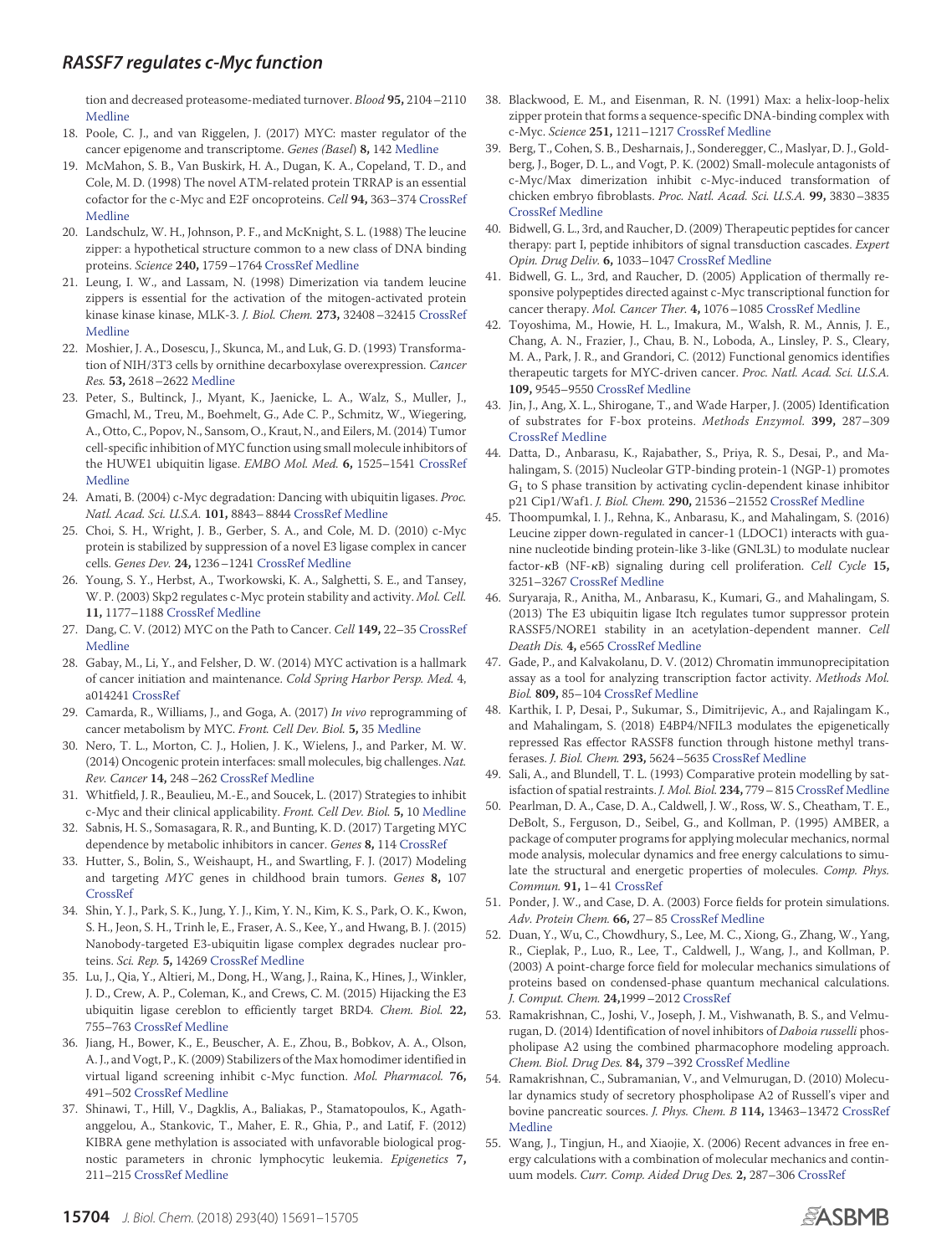tion and decreased proteasome-mediated turnover. Blood **95,** 2104–2110 Medline

- 18. Poole, C. J., and van Riggelen, J. (2017) MYC: master regulator of the cancer epigenome and transcriptome. Genes (Basel) **8,** 142 Medline
- 19. McMahon, S. B., Van Buskirk, H. A., Dugan, K. A., Copeland, T. D., and Cole, M. D. (1998) The novel ATM-related protein TRRAP is an essential cofactor for the c-Myc and E2F oncoproteins. Cell **94,** 363–374 CrossRef Medline
- 20. Landschulz, W. H., Johnson, P. F., and McKnight, S. L. (1988) The leucine zipper: a hypothetical structure common to a new class of DNA binding proteins. Science **240,** 1759–1764 CrossRef Medline
- 21. Leung, I. W., and Lassam, N. (1998) Dimerization via tandem leucine zippers is essential for the activation of the mitogen-activated protein kinase kinase kinase, MLK-3. J. Biol. Chem. **273,** 32408–32415 CrossRef Medline
- 22. Moshier, J. A., Dosescu, J., Skunca, M., and Luk, G. D. (1993) Transformation of NIH/3T3 cells by ornithine decarboxylase overexpression. Cancer Res. **53,** 2618–2622 Medline
- 23. Peter, S., Bultinck, J., Myant, K., Jaenicke, L. A., Walz, S., Muller, J., Gmachl, M., Treu, M., Boehmelt, G., Ade C. P., Schmitz, W., Wiegering, A., Otto, C., Popov, N., Sansom, O., Kraut, N., and Eilers, M. (2014) Tumor cell-specific inhibition of MYC function using small molecule inhibitors of the HUWE1 ubiquitin ligase. EMBO Mol. Med. **6,** 1525–1541 CrossRef Medline
- 24. Amati, B. (2004) c-Myc degradation: Dancing with ubiquitin ligases. Proc. Natl. Acad. Sci. U.S.A. **101,** 8843–8844 CrossRef Medline
- 25. Choi, S. H., Wright, J. B., Gerber, S. A., and Cole, M. D. (2010) c-Myc protein is stabilized by suppression of a novel E3 ligase complex in cancer cells. Genes Dev. **24,** 1236–1241 CrossRef Medline
- 26. Young, S. Y., Herbst, A., Tworkowski, K. A., Salghetti, S. E., and Tansey, W. P. (2003) Skp2 regulates c-Myc protein stability and activity. Mol. Cell. **11,** 1177–1188 CrossRef Medline
- 27. Dang, C. V. (2012) MYC on the Path to Cancer. Cell **149,** 22–35 CrossRef Medline
- 28. Gabay, M., Li, Y., and Felsher, D. W. (2014) MYC activation is a hallmark of cancer initiation and maintenance. Cold Spring Harbor Persp. Med. 4, a014241 CrossRef
- 29. Camarda, R., Williams, J., and Goga, A. (2017) In vivo reprogramming of cancer metabolism by MYC. Front. Cell Dev. Biol. **5,** 35 Medline
- 30. Nero, T. L., Morton, C. J., Holien, J. K., Wielens, J., and Parker, M. W. (2014) Oncogenic protein interfaces: small molecules, big challenges. Nat. Rev. Cancer **14,** 248–262 CrossRef Medline
- 31. Whitfield, J. R., Beaulieu, M.-E., and Soucek, L. (2017) Strategies to inhibit c-Myc and their clinical applicability. Front. Cell Dev. Biol. **5,** 10 Medline
- 32. Sabnis, H. S., Somasagara, R. R., and Bunting, K. D. (2017) Targeting MYC dependence by metabolic inhibitors in cancer. Genes **8,** 114 CrossRef
- 33. Hutter, S., Bolin, S., Weishaupt, H., and Swartling, F. J. (2017) Modeling and targeting MYC genes in childhood brain tumors. Genes **8,** 107 CrossRef
- 34. Shin, Y. J., Park, S. K., Jung, Y. J., Kim, Y. N., Kim, K. S., Park, O. K., Kwon, S. H., Jeon, S. H., Trinh le, E., Fraser, A. S., Kee, Y., and Hwang, B. J. (2015) Nanobody-targeted E3-ubiquitin ligase complex degrades nuclear proteins. Sci. Rep. **5,** 14269 CrossRef Medline
- 35. Lu, J., Qia, Y., Altieri, M., Dong, H., Wang, J., Raina, K., Hines, J., Winkler, J. D., Crew, A. P., Coleman, K., and Crews, C. M. (2015) Hijacking the E3 ubiquitin ligase cereblon to efficiently target BRD4. Chem. Biol. **22,** 755–763 CrossRef Medline
- 36. Jiang, H., Bower, K., E., Beuscher, A. E., Zhou, B., Bobkov, A. A., Olson, A. J., and Vogt, P., K. (2009) Stabilizers of the Max homodimer identified in virtual ligand screening inhibit c-Myc function. Mol. Pharmacol. **76,** 491–502 CrossRef Medline
- 37. Shinawi, T., Hill, V., Dagklis, A., Baliakas, P., Stamatopoulos, K., Agathanggelou, A., Stankovic, T., Maher, E. R., Ghia, P., and Latif, F. (2012) KIBRA gene methylation is associated with unfavorable biological prognostic parameters in chronic lymphocytic leukemia. Epigenetics **7,** 211–215 CrossRef Medline
- 38. Blackwood, E. M., and Eisenman, R. N. (1991) Max: a helix-loop-helix zipper protein that forms a sequence-specific DNA-binding complex with c-Myc. Science **251,** 1211–1217 CrossRef Medline
- 39. Berg, T., Cohen, S. B., Desharnais, J., Sonderegger, C., Maslyar, D. J., Goldberg, J., Boger, D. L., and Vogt, P. K. (2002) Small-molecule antagonists of c-Myc/Max dimerization inhibit c-Myc-induced transformation of chicken embryo fibroblasts. Proc. Natl. Acad. Sci. U.S.A. **99,** 3830–3835 CrossRef Medline
- 40. Bidwell, G. L., 3rd, and Raucher, D. (2009) Therapeutic peptides for cancer therapy: part I, peptide inhibitors of signal transduction cascades. Expert Opin. Drug Deliv. **6,** 1033–1047 CrossRef Medline
- 41. Bidwell, G. L., 3rd, and Raucher, D. (2005) Application of thermally responsive polypeptides directed against c-Myc transcriptional function for cancer therapy. Mol. Cancer Ther. **4,** 1076–1085 CrossRef Medline
- 42. Toyoshima, M., Howie, H. L., Imakura, M., Walsh, R. M., Annis, J. E., Chang, A. N., Frazier, J., Chau, B. N., Loboda, A., Linsley, P. S., Cleary, M. A., Park, J. R., and Grandori, C. (2012) Functional genomics identifies therapeutic targets for MYC-driven cancer. Proc. Natl. Acad. Sci. U.S.A. **109,** 9545–9550 CrossRef Medline
- 43. Jin, J., Ang, X. L., Shirogane, T., and Wade Harper, J. (2005) Identification of substrates for F-box proteins. Methods Enzymol. **399,** 287–309 CrossRef Medline
- 44. Datta, D., Anbarasu, K., Rajabather, S., Priya, R. S., Desai, P., and Mahalingam, S. (2015) Nucleolar GTP-binding protein-1 (NGP-1) promotes  $G_1$  to S phase transition by activating cyclin-dependent kinase inhibitor p21 Cip1/Waf1. J. Biol. Chem. **290,** 21536–21552 CrossRef Medline
- 45. Thoompumkal, I. J., Rehna, K., Anbarasu, K., and Mahalingam, S. (2016) Leucine zipper down-regulated in cancer-1 (LDOC1) interacts with guanine nucleotide binding protein-like 3-like (GNL3L) to modulate nuclear factor-B (NF-B) signaling during cell proliferation. Cell Cycle **15,** 3251–3267 CrossRef Medline
- 46. Suryaraja, R., Anitha, M., Anbarasu, K., Kumari, G., and Mahalingam, S. (2013) The E3 ubiquitin ligase Itch regulates tumor suppressor protein RASSF5/NORE1 stability in an acetylation-dependent manner. Cell Death Dis. **4,** e565 CrossRef Medline
- 47. Gade, P., and Kalvakolanu, D. V. (2012) Chromatin immunoprecipitation assay as a tool for analyzing transcription factor activity. Methods Mol. Biol. **809,** 85–104 CrossRef Medline
- 48. Karthik, I. P, Desai, P., Sukumar, S., Dimitrijevic, A., and Rajalingam K., and Mahalingam, S. (2018) E4BP4/NFIL3 modulates the epigenetically repressed Ras effector RASSF8 function through histone methyl transferases. J. Biol. Chem. **293,** 5624–5635 CrossRef Medline
- 49. Sali, A., and Blundell, T. L. (1993) Comparative protein modelling by satisfaction of spatial restraints. J. Mol. Biol. **234,** 779–815 CrossRef Medline
- 50. Pearlman, D. A., Case, D. A., Caldwell, J. W., Ross, W. S., Cheatham, T. E., DeBolt, S., Ferguson, D., Seibel, G., and Kollman, P. (1995) AMBER, a package of computer programs for applying molecular mechanics, normal mode analysis, molecular dynamics and free energy calculations to simulate the structural and energetic properties of molecules. Comp. Phys. Commun. **91,** 1–41 CrossRef
- 51. Ponder, J. W., and Case, D. A. (2003) Force fields for protein simulations. Adv. Protein Chem. **66,** 27–85 CrossRef Medline
- 52. Duan, Y., Wu, C., Chowdhury, S., Lee, M. C., Xiong, G., Zhang, W., Yang, R., Cieplak, P., Luo, R., Lee, T., Caldwell, J., Wang, J., and Kollman, P. (2003) A point-charge force field for molecular mechanics simulations of proteins based on condensed-phase quantum mechanical calculations. J. Comput. Chem. **24,**1999–2012 CrossRef
- 53. Ramakrishnan, C., Joshi, V., Joseph, J. M., Vishwanath, B. S., and Velmurugan, D. (2014) Identification of novel inhibitors of *Daboia russelli* phospholipase A2 using the combined pharmacophore modeling approach. Chem. Biol. Drug Des. **84,** 379–392 CrossRef Medline
- 54. Ramakrishnan, C., Subramanian, V., and Velmurugan, D. (2010) Molecular dynamics study of secretory phospholipase A2 of Russell's viper and bovine pancreatic sources. J. Phys. Chem. B **114,** 13463–13472 CrossRef Medline
- 55. Wang, J., Tingjun, H., and Xiaojie, X. (2006) Recent advances in free energy calculations with a combination of molecular mechanics and continuum models. Curr. Comp. Aided Drug Des. **2,** 287–306 CrossRef